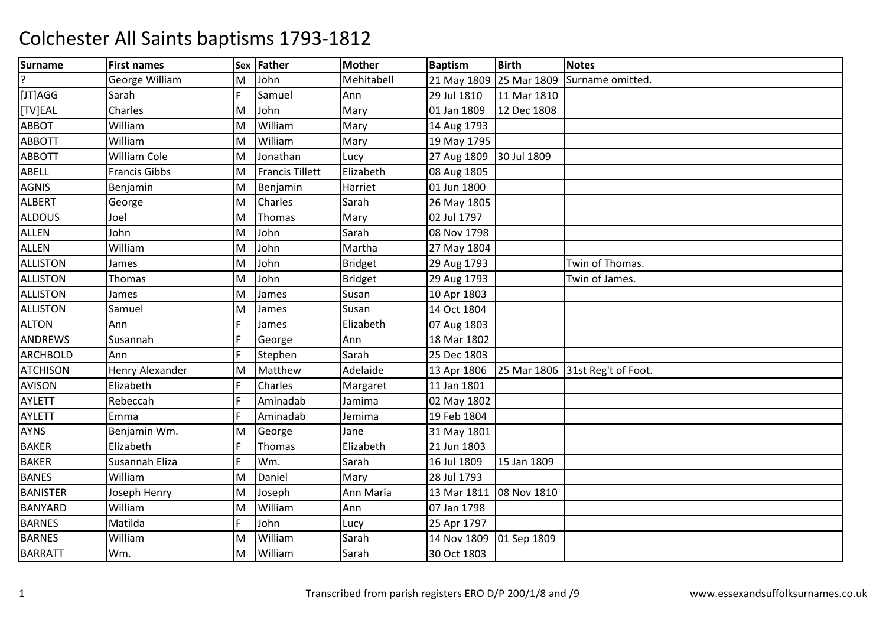| <b>Surname</b>  | <b>First names</b>     |   | Sex Father             | <b>Mother</b> | <b>Baptism</b> | <b>Birth</b> | <b>Notes</b>        |
|-----------------|------------------------|---|------------------------|---------------|----------------|--------------|---------------------|
|                 | George William         | м | John                   | Mehitabell    | 21 May 1809    | 25 Mar 1809  | Surname omitted     |
| [JT]AGG         | Sarah                  |   | Samuel                 | Ann           | 29 Jul 1810    | 11 Mar 1810  |                     |
| [TV]EAL         | Charles                | M | John                   | Mary          | 01 Jan 1809    | 12 Dec 1808  |                     |
| ABBOT           | William                | M | William                | Mary          | 14 Aug 1793    |              |                     |
| <b>ABBOTT</b>   | William                | M | William                | Mary          | 19 May 1795    |              |                     |
| <b>ABBOTT</b>   | <b>William Cole</b>    | M | Jonathan               | Lucy          | 27 Aug 1809    | 30 Jul 1809  |                     |
| ABELL           | <b>Francis Gibbs</b>   | M | <b>Francis Tillett</b> | Elizabeth     | 08 Aug 1805    |              |                     |
| <b>AGNIS</b>    | Benjamin               | M | Benjamin               | Harriet       | 01 Jun 1800    |              |                     |
| <b>ALBERT</b>   | George                 | M | Charles                | Sarah         | 26 May 1805    |              |                     |
| <b>ALDOUS</b>   | Joel                   | M | Thomas                 | Mary          | 02 Jul 1797    |              |                     |
| <b>ALLEN</b>    | John                   | M | John                   | Sarah         | 08 Nov 1798    |              |                     |
| <b>ALLEN</b>    | William                | M | John                   | Martha        | 27 May 1804    |              |                     |
| <b>ALLISTON</b> | James                  | M | John                   | Bridget       | 29 Aug 1793    |              | Twin of Thomas.     |
| <b>ALLISTON</b> | Thomas                 | M | John                   | Bridget       | 29 Aug 1793    |              | Twin of James.      |
| <b>ALLISTON</b> | James                  | M | James                  | Susan         | 10 Apr 1803    |              |                     |
| <b>ALLISTON</b> | Samuel                 | M | James                  | Susan         | 14 Oct 1804    |              |                     |
| <b>ALTON</b>    | Ann                    |   | James                  | Elizabeth     | 07 Aug 1803    |              |                     |
| <b>ANDREWS</b>  | Susannah               |   | George                 | Ann           | 18 Mar 1802    |              |                     |
| <b>ARCHBOLD</b> | Ann                    |   | Stephen                | Sarah         | 25 Dec 1803    |              |                     |
| <b>ATCHISON</b> | <b>Henry Alexander</b> | M | Matthew                | Adelaide      | 13 Apr 1806    | 25 Mar 1806  | 31st Reg't of Foot. |
| <b>AVISON</b>   | Elizabeth              |   | Charles                | Margaret      | 11 Jan 1801    |              |                     |
| <b>AYLETT</b>   | Rebeccah               |   | Aminadab               | Jamima        | 02 May 1802    |              |                     |
| <b>AYLETT</b>   | Emma                   |   | Aminadab               | Jemima        | 19 Feb 1804    |              |                     |
| <b>AYNS</b>     | Benjamin Wm.           | м | George                 | Jane          | 31 May 1801    |              |                     |
| <b>BAKER</b>    | Elizabeth              |   | Thomas                 | Elizabeth     | 21 Jun 1803    |              |                     |
| <b>BAKER</b>    | Susannah Eliza         |   | Wm.                    | Sarah         | 16 Jul 1809    | 15 Jan 1809  |                     |
| <b>BANES</b>    | William                | M | Daniel                 | Mary          | 28 Jul 1793    |              |                     |
| <b>BANISTER</b> | Joseph Henry           | M | Joseph                 | Ann Maria     | 13 Mar 1811    | 08 Nov 1810  |                     |
| <b>BANYARD</b>  | William                | M | William                | Ann           | 07 Jan 1798    |              |                     |
| <b>BARNES</b>   | Matilda                |   | John                   | Lucy          | 25 Apr 1797    |              |                     |
| <b>BARNES</b>   | William                | M | William                | Sarah         | 14 Nov 1809    | 01 Sep 1809  |                     |
| <b>BARRATT</b>  | Wm.                    | M | William                | Sarah         | 30 Oct 1803    |              |                     |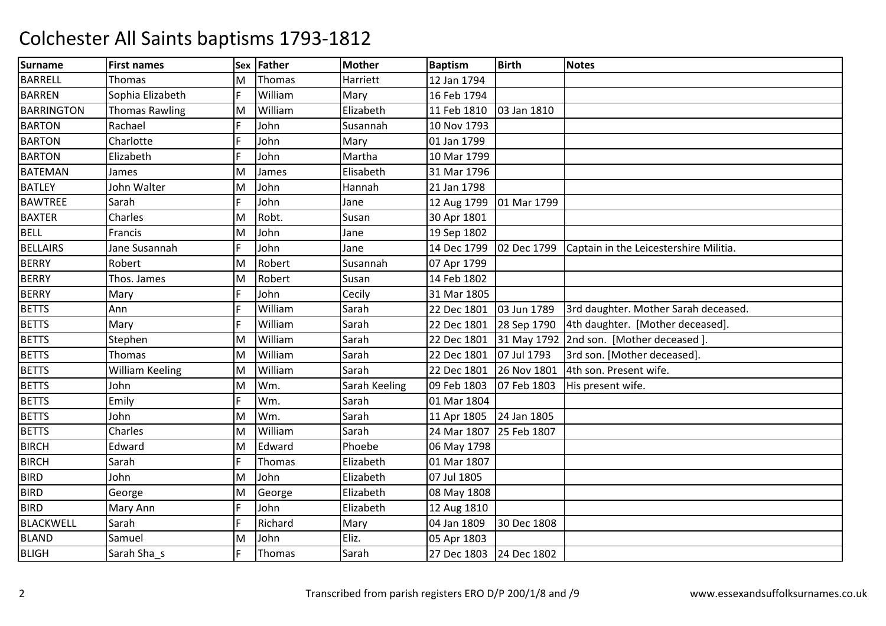| <b>Surname</b>    | <b>First names</b>     | Sex | <b>Father</b> | <b>Mother</b> | <b>Baptism</b>          | <b>Birth</b> | <b>Notes</b>                             |
|-------------------|------------------------|-----|---------------|---------------|-------------------------|--------------|------------------------------------------|
| <b>BARRELL</b>    | Thomas                 | M   | Thomas        | Harriett      | 12 Jan 1794             |              |                                          |
| <b>BARREN</b>     | Sophia Elizabeth       |     | William       | Mary          | 16 Feb 1794             |              |                                          |
| <b>BARRINGTON</b> | <b>Thomas Rawling</b>  | M   | William       | Elizabeth     | 11 Feb 1810             | 03 Jan 1810  |                                          |
| <b>BARTON</b>     | Rachael                |     | John          | Susannah      | 10 Nov 1793             |              |                                          |
| <b>BARTON</b>     | Charlotte              |     | John          | Mary          | 01 Jan 1799             |              |                                          |
| <b>BARTON</b>     | Elizabeth              |     | John          | Martha        | 10 Mar 1799             |              |                                          |
| <b>BATEMAN</b>    | James                  | Μ   | James         | Elisabeth     | 31 Mar 1796             |              |                                          |
| <b>BATLEY</b>     | John Walter            | M   | John          | Hannah        | 21 Jan 1798             |              |                                          |
| <b>BAWTREE</b>    | Sarah                  |     | John          | Jane          | 12 Aug 1799             | 01 Mar 1799  |                                          |
| <b>BAXTER</b>     | Charles                | Μ   | Robt.         | Susan         | 30 Apr 1801             |              |                                          |
| <b>BELL</b>       | Francis                | M   | John          | Jane          | 19 Sep 1802             |              |                                          |
| <b>BELLAIRS</b>   | Jane Susannah          |     | John          | Jane          | 14 Dec 1799             | 02 Dec 1799  | Captain in the Leicestershire Militia.   |
| <b>BERRY</b>      | Robert                 | M   | Robert        | Susannah      | 07 Apr 1799             |              |                                          |
| <b>BERRY</b>      | Thos. James            | M   | Robert        | Susan         | 14 Feb 1802             |              |                                          |
| <b>BERRY</b>      | Mary                   |     | John          | Cecily        | 31 Mar 1805             |              |                                          |
| <b>BETTS</b>      | Ann                    |     | William       | Sarah         | 22 Dec 1801             | 03 Jun 1789  | 3rd daughter. Mother Sarah deceased.     |
| <b>BETTS</b>      | Mary                   |     | William       | Sarah         | 22 Dec 1801             | 28 Sep 1790  | 4th daughter. [Mother deceased].         |
| <b>BETTS</b>      | Stephen                | м   | William       | Sarah         | 22 Dec 1801             |              | 31 May 1792 2nd son. [Mother deceased ]. |
| <b>BETTS</b>      | Thomas                 | M   | William       | Sarah         | 22 Dec 1801             | 07 Jul 1793  | 3rd son. [Mother deceased].              |
| <b>BETTS</b>      | <b>William Keeling</b> | M   | William       | Sarah         | 22 Dec 1801             | 26 Nov 1801  | 4th son. Present wife.                   |
| <b>BETTS</b>      | John                   | M   | Wm.           | Sarah Keeling | 09 Feb 1803             | 07 Feb 1803  | His present wife.                        |
| <b>BETTS</b>      | Emily                  |     | Wm.           | Sarah         | 01 Mar 1804             |              |                                          |
| <b>BETTS</b>      | John                   | M   | Wm.           | Sarah         | 11 Apr 1805             | 24 Jan 1805  |                                          |
| <b>BETTS</b>      | Charles                | M   | William       | Sarah         | 24 Mar 1807             | 25 Feb 1807  |                                          |
| <b>BIRCH</b>      | Edward                 | M   | Edward        | Phoebe        | 06 May 1798             |              |                                          |
| <b>BIRCH</b>      | Sarah                  |     | Thomas        | Elizabeth     | 01 Mar 1807             |              |                                          |
| <b>BIRD</b>       | John                   | Μ   | John          | Elizabeth     | 07 Jul 1805             |              |                                          |
| <b>BIRD</b>       | George                 | Μ   | George        | Elizabeth     | 08 May 1808             |              |                                          |
| <b>BIRD</b>       | Mary Ann               |     | John          | Elizabeth     | 12 Aug 1810             |              |                                          |
| <b>BLACKWELL</b>  | Sarah                  |     | Richard       | Mary          | 04 Jan 1809             | 30 Dec 1808  |                                          |
| <b>BLAND</b>      | Samuel                 | Μ   | John          | Eliz.         | 05 Apr 1803             |              |                                          |
| <b>BLIGH</b>      | Sarah Sha s            |     | Thomas        | Sarah         | 27 Dec 1803 24 Dec 1802 |              |                                          |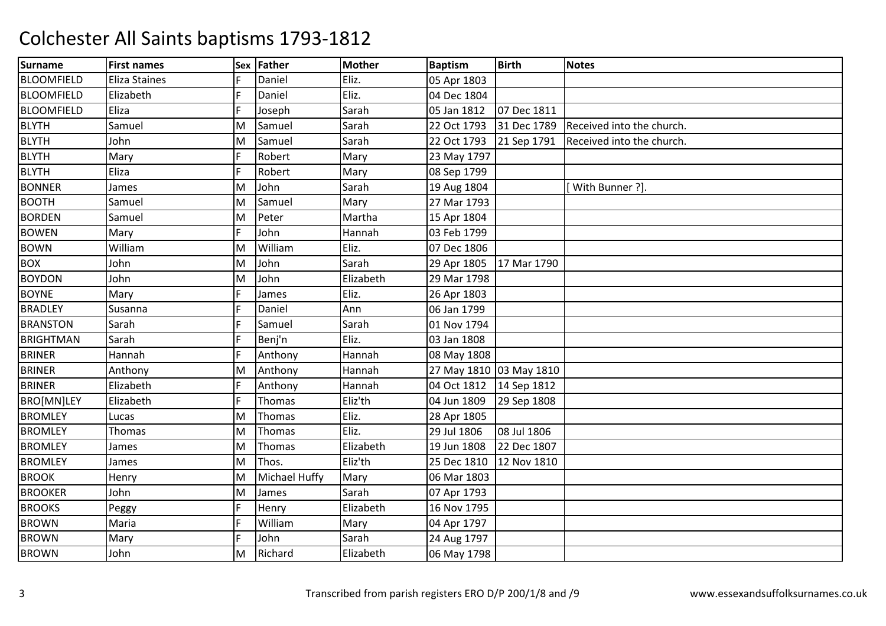| <b>Surname</b>    | <b>First names</b>   | Sex | Father        | <b>Mother</b> | <b>Baptism</b>          | <b>Birth</b> | <b>Notes</b>              |
|-------------------|----------------------|-----|---------------|---------------|-------------------------|--------------|---------------------------|
| <b>BLOOMFIELD</b> | <b>Eliza Staines</b> |     | Daniel        | Eliz.         | 05 Apr 1803             |              |                           |
| <b>BLOOMFIELD</b> | Elizabeth            |     | Daniel        | Eliz.         | 04 Dec 1804             |              |                           |
| <b>BLOOMFIELD</b> | Eliza                |     | Joseph        | Sarah         | 05 Jan 1812             | 07 Dec 1811  |                           |
| <b>BLYTH</b>      | Samuel               | M   | Samuel        | Sarah         | 22 Oct 1793             | 31 Dec 1789  | Received into the church. |
| <b>BLYTH</b>      | John                 | M   | Samuel        | Sarah         | 22 Oct 1793             | 21 Sep 1791  | Received into the church. |
| <b>BLYTH</b>      | Mary                 |     | Robert        | Mary          | 23 May 1797             |              |                           |
| <b>BLYTH</b>      | Eliza                |     | Robert        | Mary          | 08 Sep 1799             |              |                           |
| <b>BONNER</b>     | James                | M   | John          | Sarah         | 19 Aug 1804             |              | With Bunner ?].           |
| <b>BOOTH</b>      | Samuel               | M   | Samuel        | Mary          | 27 Mar 1793             |              |                           |
| <b>BORDEN</b>     | Samuel               | M   | Peter         | Martha        | 15 Apr 1804             |              |                           |
| <b>BOWEN</b>      | Mary                 |     | John          | Hannah        | 03 Feb 1799             |              |                           |
| <b>BOWN</b>       | William              | M   | William       | Eliz.         | 07 Dec 1806             |              |                           |
| <b>BOX</b>        | John                 | M   | John          | Sarah         | 29 Apr 1805             | 17 Mar 1790  |                           |
| <b>BOYDON</b>     | John                 | M   | John          | Elizabeth     | 29 Mar 1798             |              |                           |
| <b>BOYNE</b>      | Mary                 |     | James         | Eliz.         | 26 Apr 1803             |              |                           |
| <b>BRADLEY</b>    | Susanna              |     | Daniel        | Ann           | 06 Jan 1799             |              |                           |
| <b>BRANSTON</b>   | Sarah                |     | Samuel        | Sarah         | 01 Nov 1794             |              |                           |
| <b>BRIGHTMAN</b>  | Sarah                |     | Benj'n        | Eliz.         | 03 Jan 1808             |              |                           |
| <b>BRINER</b>     | Hannah               |     | Anthony       | Hannah        | 08 May 1808             |              |                           |
| <b>BRINER</b>     | Anthony              | M   | Anthony       | Hannah        | 27 May 1810 03 May 1810 |              |                           |
| <b>BRINER</b>     | Elizabeth            |     | Anthony       | Hannah        | 04 Oct 1812             | 14 Sep 1812  |                           |
| BRO[MN]LEY        | Elizabeth            |     | Thomas        | Eliz'th       | 04 Jun 1809             | 29 Sep 1808  |                           |
| <b>BROMLEY</b>    | Lucas                | м   | Thomas        | Eliz.         | 28 Apr 1805             |              |                           |
| <b>BROMLEY</b>    | Thomas               | M   | Thomas        | Eliz.         | 29 Jul 1806             | 08 Jul 1806  |                           |
| <b>BROMLEY</b>    | James                | M   | Thomas        | Elizabeth     | 19 Jun 1808             | 22 Dec 1807  |                           |
| <b>BROMLEY</b>    | James                | M   | Thos.         | Eliz'th       | 25 Dec 1810             | 12 Nov 1810  |                           |
| <b>BROOK</b>      | Henry                | M   | Michael Huffy | Mary          | 06 Mar 1803             |              |                           |
| <b>BROOKER</b>    | John                 | M   | James         | Sarah         | 07 Apr 1793             |              |                           |
| <b>BROOKS</b>     | Peggy                |     | Henry         | Elizabeth     | 16 Nov 1795             |              |                           |
| <b>BROWN</b>      | Maria                |     | William       | Mary          | 04 Apr 1797             |              |                           |
| <b>BROWN</b>      | Mary                 |     | John          | Sarah         | 24 Aug 1797             |              |                           |
| <b>BROWN</b>      | John                 | M   | Richard       | Elizabeth     | 06 May 1798             |              |                           |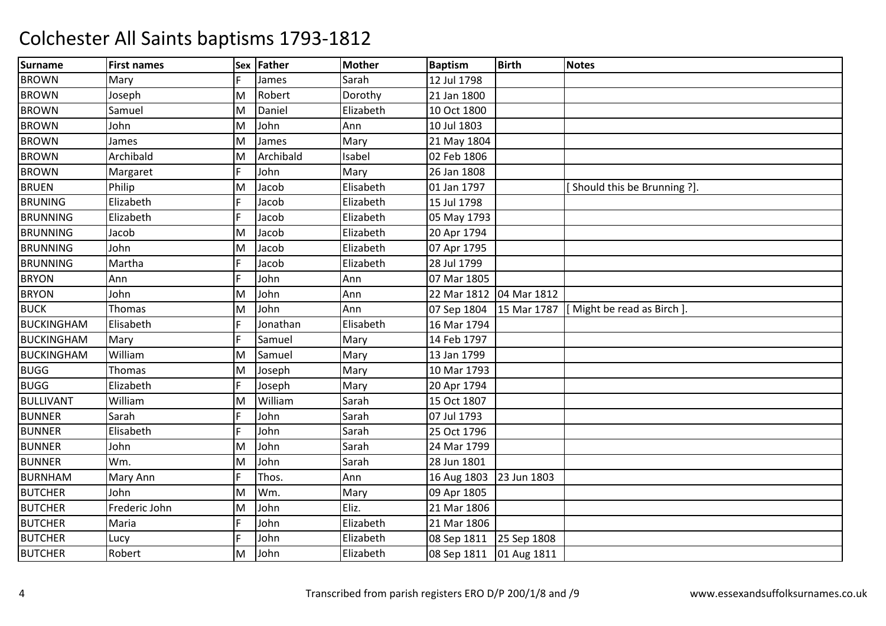| <b>Surname</b>    | <b>First names</b> | Sex | Father    | <b>Mother</b> | <b>Baptism</b>          | <b>Birth</b> | <b>Notes</b>                 |
|-------------------|--------------------|-----|-----------|---------------|-------------------------|--------------|------------------------------|
| <b>BROWN</b>      | Mary               |     | James     | Sarah         | 12 Jul 1798             |              |                              |
| <b>BROWN</b>      | Joseph             | M   | Robert    | Dorothy       | 21 Jan 1800             |              |                              |
| <b>BROWN</b>      | Samuel             | M   | Daniel    | Elizabeth     | 10 Oct 1800             |              |                              |
| <b>BROWN</b>      | John               | M   | John      | Ann           | 10 Jul 1803             |              |                              |
| <b>BROWN</b>      | James              | M   | James     | Mary          | 21 May 1804             |              |                              |
| <b>BROWN</b>      | Archibald          | M   | Archibald | Isabel        | 02 Feb 1806             |              |                              |
| <b>BROWN</b>      | Margaret           | F   | John      | Mary          | 26 Jan 1808             |              |                              |
| <b>BRUEN</b>      | Philip             | M   | Jacob     | Elisabeth     | 01 Jan 1797             |              | [Should this be Brunning ?]. |
| <b>BRUNING</b>    | Elizabeth          |     | Jacob     | Elizabeth     | 15 Jul 1798             |              |                              |
| <b>BRUNNING</b>   | Elizabeth          |     | Jacob     | Elizabeth     | 05 May 1793             |              |                              |
| <b>BRUNNING</b>   | Jacob              | M   | Jacob     | Elizabeth     | 20 Apr 1794             |              |                              |
| <b>BRUNNING</b>   | John               | M   | Jacob     | Elizabeth     | 07 Apr 1795             |              |                              |
| <b>BRUNNING</b>   | Martha             |     | Jacob     | Elizabeth     | 28 Jul 1799             |              |                              |
| <b>BRYON</b>      | Ann                |     | John      | Ann           | 07 Mar 1805             |              |                              |
| <b>BRYON</b>      | John               | M   | John      | Ann           | 22 Mar 1812             | 04 Mar 1812  |                              |
| <b>BUCK</b>       | Thomas             | M   | John      | Ann           | 07 Sep 1804             | 15 Mar 1787  | [Might be read as Birch].    |
| <b>BUCKINGHAM</b> | Elisabeth          |     | Jonathan  | Elisabeth     | 16 Mar 1794             |              |                              |
| <b>BUCKINGHAM</b> | Mary               |     | Samuel    | Mary          | 14 Feb 1797             |              |                              |
| <b>BUCKINGHAM</b> | William            | M   | Samuel    | Mary          | 13 Jan 1799             |              |                              |
| <b>BUGG</b>       | <b>Thomas</b>      | M   | Joseph    | Mary          | 10 Mar 1793             |              |                              |
| <b>BUGG</b>       | Elizabeth          |     | Joseph    | Mary          | 20 Apr 1794             |              |                              |
| <b>BULLIVANT</b>  | William            | M   | William   | Sarah         | 15 Oct 1807             |              |                              |
| <b>BUNNER</b>     | Sarah              |     | John      | Sarah         | 07 Jul 1793             |              |                              |
| <b>BUNNER</b>     | Elisabeth          |     | John      | Sarah         | 25 Oct 1796             |              |                              |
| <b>BUNNER</b>     | John               | M   | John      | Sarah         | 24 Mar 1799             |              |                              |
| <b>BUNNER</b>     | Wm.                | M   | John      | Sarah         | 28 Jun 1801             |              |                              |
| <b>BURNHAM</b>    | Mary Ann           |     | Thos.     | Ann           | 16 Aug 1803             | 23 Jun 1803  |                              |
| <b>BUTCHER</b>    | John               | M   | Wm.       | Mary          | 09 Apr 1805             |              |                              |
| <b>BUTCHER</b>    | Frederic John      | M   | John      | Eliz.         | 21 Mar 1806             |              |                              |
| <b>BUTCHER</b>    | Maria              |     | John      | Elizabeth     | 21 Mar 1806             |              |                              |
| <b>BUTCHER</b>    | Lucy               |     | John      | Elizabeth     | 08 Sep 1811             | 25 Sep 1808  |                              |
| <b>BUTCHER</b>    | Robert             | M   | John      | Elizabeth     | 08 Sep 1811 01 Aug 1811 |              |                              |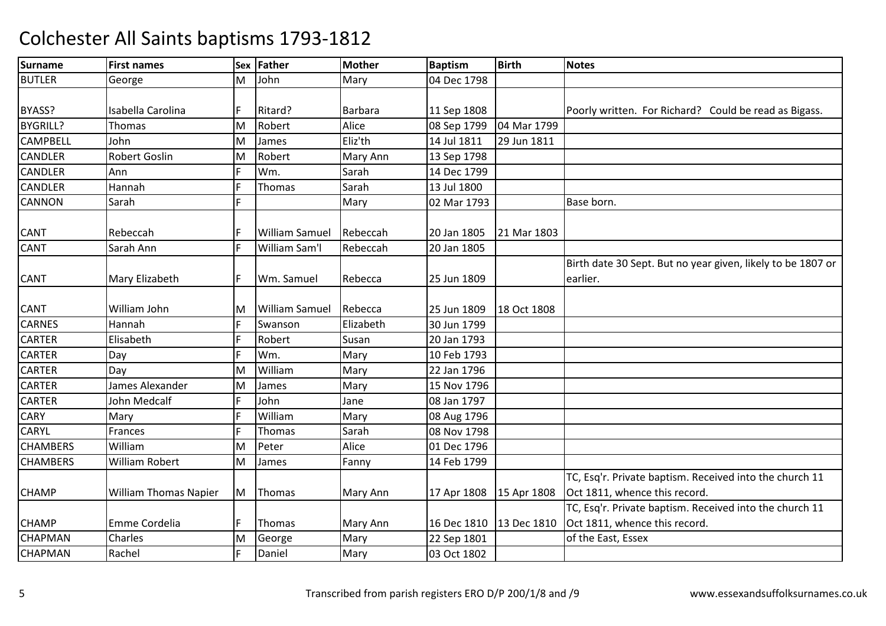| <b>Surname</b>  | <b>First names</b>           | <b>Sex</b> | Father                | <b>Mother</b> | <b>Baptism</b> | <b>Birth</b> | <b>Notes</b>                                                |
|-----------------|------------------------------|------------|-----------------------|---------------|----------------|--------------|-------------------------------------------------------------|
| <b>BUTLER</b>   | George                       | M          | John                  | Mary          | 04 Dec 1798    |              |                                                             |
|                 |                              |            |                       |               |                |              |                                                             |
| BYASS?          | Isabella Carolina            |            | Ritard?               | Barbara       | 11 Sep 1808    |              | Poorly written. For Richard? Could be read as Bigass.       |
| <b>BYGRILL?</b> | Thomas                       | M          | Robert                | Alice         | 08 Sep 1799    | 04 Mar 1799  |                                                             |
| <b>CAMPBELL</b> | John                         | M          | James                 | Eliz'th       | 14 Jul 1811    | 29 Jun 1811  |                                                             |
| <b>CANDLER</b>  | <b>Robert Goslin</b>         | M          | Robert                | Mary Ann      | 13 Sep 1798    |              |                                                             |
| <b>CANDLER</b>  | Ann                          |            | Wm.                   | Sarah         | 14 Dec 1799    |              |                                                             |
| <b>CANDLER</b>  | Hannah                       |            | Thomas                | Sarah         | 13 Jul 1800    |              |                                                             |
| <b>CANNON</b>   | Sarah                        |            |                       | Mary          | 02 Mar 1793    |              | Base born.                                                  |
|                 |                              |            |                       |               |                |              |                                                             |
| <b>CANT</b>     | Rebeccah                     |            | <b>William Samuel</b> | Rebeccah      | 20 Jan 1805    | 21 Mar 1803  |                                                             |
| <b>CANT</b>     | Sarah Ann                    |            | William Sam'l         | Rebeccah      | 20 Jan 1805    |              |                                                             |
|                 |                              |            |                       |               |                |              | Birth date 30 Sept. But no year given, likely to be 1807 or |
| <b>CANT</b>     | Mary Elizabeth               |            | Wm. Samuel            | Rebecca       | 25 Jun 1809    |              | earlier.                                                    |
|                 |                              |            |                       |               |                |              |                                                             |
| <b>CANT</b>     | William John                 | M          | <b>William Samuel</b> | Rebecca       | 25 Jun 1809    | 18 Oct 1808  |                                                             |
| <b>CARNES</b>   | Hannah                       |            | Swanson               | Elizabeth     | 30 Jun 1799    |              |                                                             |
| <b>CARTER</b>   | Elisabeth                    |            | Robert                | Susan         | 20 Jan 1793    |              |                                                             |
| <b>CARTER</b>   | Day                          |            | Wm.                   | Mary          | 10 Feb 1793    |              |                                                             |
| <b>CARTER</b>   | Day                          | M          | William               | Mary          | 22 Jan 1796    |              |                                                             |
| <b>CARTER</b>   | James Alexander              | M          | James                 | Mary          | 15 Nov 1796    |              |                                                             |
| <b>CARTER</b>   | John Medcalf                 |            | John                  | Jane          | 08 Jan 1797    |              |                                                             |
| <b>CARY</b>     | Mary                         |            | William               | Mary          | 08 Aug 1796    |              |                                                             |
| <b>CARYL</b>    | Frances                      |            | Thomas                | Sarah         | 08 Nov 1798    |              |                                                             |
| <b>CHAMBERS</b> | William                      | M          | Peter                 | Alice         | 01 Dec 1796    |              |                                                             |
| <b>CHAMBERS</b> | William Robert               | M          | James                 | Fanny         | 14 Feb 1799    |              |                                                             |
|                 |                              |            |                       |               |                |              | TC, Esq'r. Private baptism. Received into the church 11     |
| <b>CHAMP</b>    | <b>William Thomas Napier</b> | M          | Thomas                | Mary Ann      | 17 Apr 1808    | 15 Apr 1808  | Oct 1811, whence this record.                               |
|                 |                              |            |                       |               |                |              | TC, Esq'r. Private baptism. Received into the church 11     |
| <b>CHAMP</b>    | Emme Cordelia                |            | Thomas                | Mary Ann      | 16 Dec 1810    |              | 13 Dec 1810 Oct 1811, whence this record.                   |
| <b>CHAPMAN</b>  | Charles                      | M          | George                | Mary          | 22 Sep 1801    |              | of the East, Essex                                          |
| <b>CHAPMAN</b>  | Rachel                       |            | Daniel                | Mary          | 03 Oct 1802    |              |                                                             |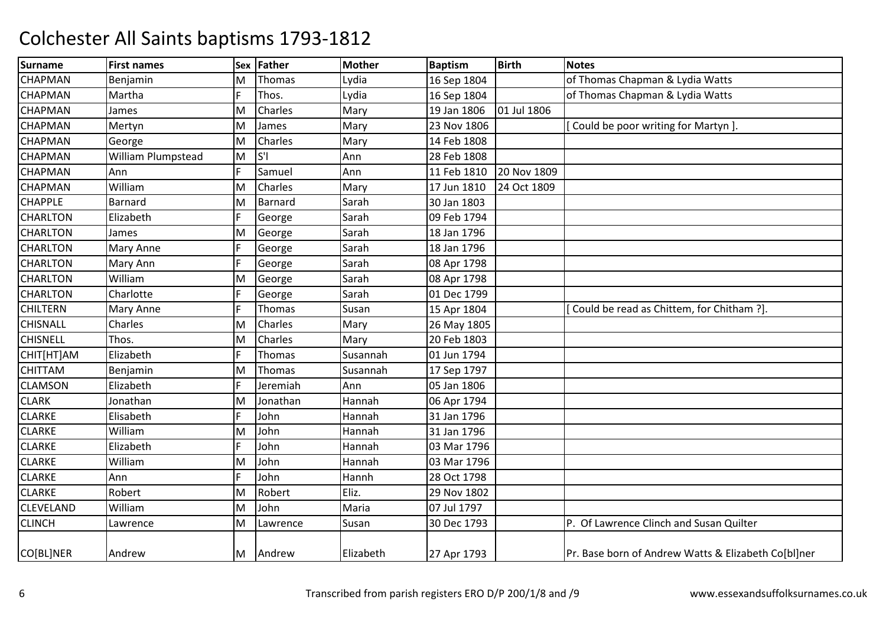| Surname          | <b>First names</b> | <b>Sex</b> | Father         | <b>Mother</b> | <b>Baptism</b> | <b>Birth</b> | <b>Notes</b>                                        |
|------------------|--------------------|------------|----------------|---------------|----------------|--------------|-----------------------------------------------------|
| <b>CHAPMAN</b>   | Benjamin           | M          | Thomas         | Lydia         | 16 Sep 1804    |              | of Thomas Chapman & Lydia Watts                     |
| <b>CHAPMAN</b>   | Martha             | F.         | Thos.          | Lydia         | 16 Sep 1804    |              | of Thomas Chapman & Lydia Watts                     |
| <b>CHAPMAN</b>   | James              | M          | Charles        | Mary          | 19 Jan 1806    | 01 Jul 1806  |                                                     |
| <b>CHAPMAN</b>   | Mertyn             | M          | James          | Mary          | 23 Nov 1806    |              | Could be poor writing for Martyn ].                 |
| <b>CHAPMAN</b>   | George             | M          | Charles        | Mary          | 14 Feb 1808    |              |                                                     |
| <b>CHAPMAN</b>   | William Plumpstead | M          | S <sup>T</sup> | Ann           | 28 Feb 1808    |              |                                                     |
| <b>CHAPMAN</b>   | Ann                |            | Samuel         | Ann           | 11 Feb 1810    | 20 Nov 1809  |                                                     |
| <b>CHAPMAN</b>   | William            | M          | Charles        | Mary          | 17 Jun 1810    | 24 Oct 1809  |                                                     |
| <b>CHAPPLE</b>   | Barnard            | M          | Barnard        | Sarah         | 30 Jan 1803    |              |                                                     |
| <b>CHARLTON</b>  | Elizabeth          |            | George         | Sarah         | 09 Feb 1794    |              |                                                     |
| <b>CHARLTON</b>  | James              | M          | George         | Sarah         | 18 Jan 1796    |              |                                                     |
| <b>CHARLTON</b>  | Mary Anne          |            | George         | Sarah         | 18 Jan 1796    |              |                                                     |
| <b>CHARLTON</b>  | Mary Ann           | F.         | George         | Sarah         | 08 Apr 1798    |              |                                                     |
| <b>CHARLTON</b>  | William            | M          | George         | Sarah         | 08 Apr 1798    |              |                                                     |
| <b>CHARLTON</b>  | Charlotte          |            | George         | Sarah         | 01 Dec 1799    |              |                                                     |
| <b>CHILTERN</b>  | Mary Anne          |            | Thomas         | Susan         | 15 Apr 1804    |              | Could be read as Chittem, for Chitham ?].           |
| <b>CHISNALL</b>  | Charles            | м          | Charles        | Mary          | 26 May 1805    |              |                                                     |
| <b>CHISNELL</b>  | Thos.              | M          | Charles        | Mary          | 20 Feb 1803    |              |                                                     |
| CHIT[HT]AM       | Elizabeth          |            | Thomas         | Susannah      | 01 Jun 1794    |              |                                                     |
| <b>CHITTAM</b>   | Benjamin           | M          | Thomas         | Susannah      | 17 Sep 1797    |              |                                                     |
| <b>CLAMSON</b>   | Elizabeth          |            | Jeremiah       | Ann           | 05 Jan 1806    |              |                                                     |
| <b>CLARK</b>     | Jonathan           | M          | Jonathan       | Hannah        | 06 Apr 1794    |              |                                                     |
| <b>CLARKE</b>    | Elisabeth          |            | John           | Hannah        | 31 Jan 1796    |              |                                                     |
| <b>CLARKE</b>    | William            | M          | John           | Hannah        | 31 Jan 1796    |              |                                                     |
| <b>CLARKE</b>    | Elizabeth          |            | John           | Hannah        | 03 Mar 1796    |              |                                                     |
| <b>CLARKE</b>    | William            | M          | John           | Hannah        | 03 Mar 1796    |              |                                                     |
| <b>CLARKE</b>    | Ann                |            | John           | Hannh         | 28 Oct 1798    |              |                                                     |
| <b>CLARKE</b>    | Robert             | M          | Robert         | Eliz.         | 29 Nov 1802    |              |                                                     |
| <b>CLEVELAND</b> | William            | M          | John           | Maria         | 07 Jul 1797    |              |                                                     |
| <b>CLINCH</b>    | Lawrence           | M          | Lawrence       | Susan         | 30 Dec 1793    |              | P. Of Lawrence Clinch and Susan Quilter             |
| CO[BL]NER        | Andrew             | M          | Andrew         | Elizabeth     | 27 Apr 1793    |              | Pr. Base born of Andrew Watts & Elizabeth Co[bl]ner |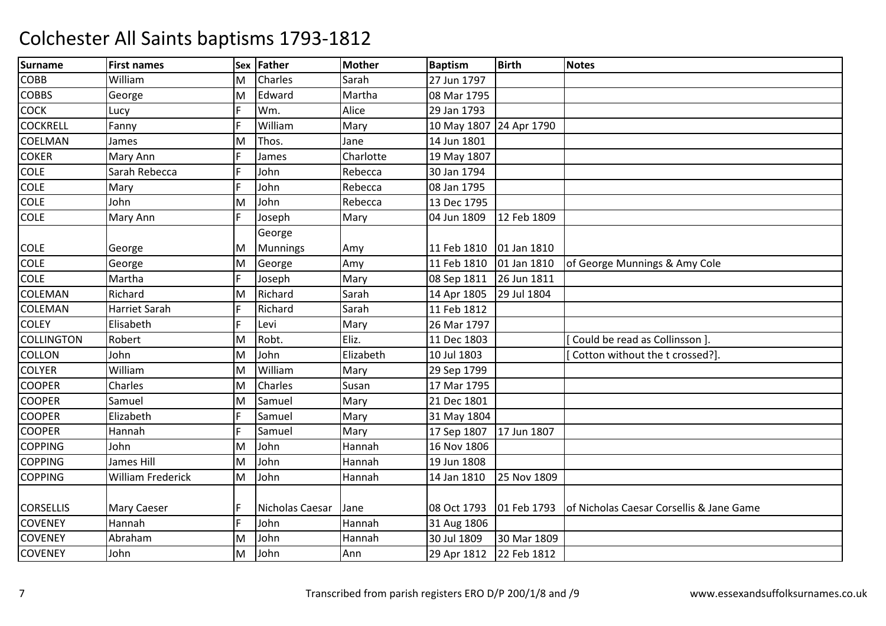| <b>Surname</b>    | <b>First names</b>       | Sex | Father          | <b>Mother</b> | <b>Baptism</b>          | <b>Birth</b> | <b>Notes</b>                             |
|-------------------|--------------------------|-----|-----------------|---------------|-------------------------|--------------|------------------------------------------|
| COBB              | William                  | M   | Charles         | Sarah         | 27 Jun 1797             |              |                                          |
| <b>COBBS</b>      | George                   | M   | Edward          | Martha        | 08 Mar 1795             |              |                                          |
| <b>COCK</b>       | Lucy                     |     | Wm.             | Alice         | 29 Jan 1793             |              |                                          |
| <b>COCKRELL</b>   | Fanny                    |     | William         | Mary          | 10 May 1807 24 Apr 1790 |              |                                          |
| <b>COELMAN</b>    | James                    | M   | Thos.           | Jane          | 14 Jun 1801             |              |                                          |
| <b>COKER</b>      | Mary Ann                 |     | James           | Charlotte     | 19 May 1807             |              |                                          |
| <b>COLE</b>       | Sarah Rebecca            |     | John            | Rebecca       | 30 Jan 1794             |              |                                          |
| <b>COLE</b>       | Mary                     |     | John            | Rebecca       | 08 Jan 1795             |              |                                          |
| <b>COLE</b>       | John                     | M   | John            | Rebecca       | 13 Dec 1795             |              |                                          |
| <b>COLE</b>       | Mary Ann                 |     | Joseph          | Mary          | 04 Jun 1809             | 12 Feb 1809  |                                          |
|                   |                          |     | George          |               |                         |              |                                          |
| <b>COLE</b>       | George                   | М   | <b>Munnings</b> | Amy           | 11 Feb 1810             | 01 Jan 1810  |                                          |
| <b>COLE</b>       | George                   | M   | George          | Amy           | 11 Feb 1810             | 01 Jan 1810  | of George Munnings & Amy Cole            |
| <b>COLE</b>       | Martha                   |     | Joseph          | Mary          | 08 Sep 1811             | 26 Jun 1811  |                                          |
| <b>COLEMAN</b>    | Richard                  | M   | Richard         | Sarah         | 14 Apr 1805             | 29 Jul 1804  |                                          |
| <b>COLEMAN</b>    | Harriet Sarah            |     | Richard         | Sarah         | 11 Feb 1812             |              |                                          |
| <b>COLEY</b>      | Elisabeth                |     | Levi            | Mary          | 26 Mar 1797             |              |                                          |
| <b>COLLINGTON</b> | Robert                   | M   | Robt.           | Eliz.         | 11 Dec 1803             |              | Could be read as Collinsson ].           |
| <b>COLLON</b>     | John                     | M   | John            | Elizabeth     | 10 Jul 1803             |              | Cotton without the t crossed?].          |
| <b>COLYER</b>     | William                  | M   | William         | Mary          | 29 Sep 1799             |              |                                          |
| <b>COOPER</b>     | Charles                  | М   | Charles         | Susan         | 17 Mar 1795             |              |                                          |
| <b>COOPER</b>     | Samuel                   | М   | Samuel          | Mary          | 21 Dec 1801             |              |                                          |
| <b>COOPER</b>     | Elizabeth                |     | Samuel          | Mary          | 31 May 1804             |              |                                          |
| <b>COOPER</b>     | Hannah                   |     | Samuel          | Mary          | 17 Sep 1807             | 17 Jun 1807  |                                          |
| <b>COPPING</b>    | John                     | M   | John            | Hannah        | 16 Nov 1806             |              |                                          |
| <b>COPPING</b>    | James Hill               | M   | John            | Hannah        | 19 Jun 1808             |              |                                          |
| <b>COPPING</b>    | <b>William Frederick</b> | M   | John            | Hannah        | 14 Jan 1810             | 25 Nov 1809  |                                          |
|                   |                          |     |                 |               |                         |              |                                          |
| <b>CORSELLIS</b>  | <b>Mary Caeser</b>       |     | Nicholas Caesar | Jane          | 08 Oct 1793             | 01 Feb 1793  | of Nicholas Caesar Corsellis & Jane Game |
| <b>COVENEY</b>    | Hannah                   | F.  | John            | Hannah        | 31 Aug 1806             |              |                                          |
| <b>COVENEY</b>    | Abraham                  | M   | John            | Hannah        | 30 Jul 1809             | 30 Mar 1809  |                                          |
| <b>COVENEY</b>    | John                     | M   | John            | Ann           | 29 Apr 1812             | 22 Feb 1812  |                                          |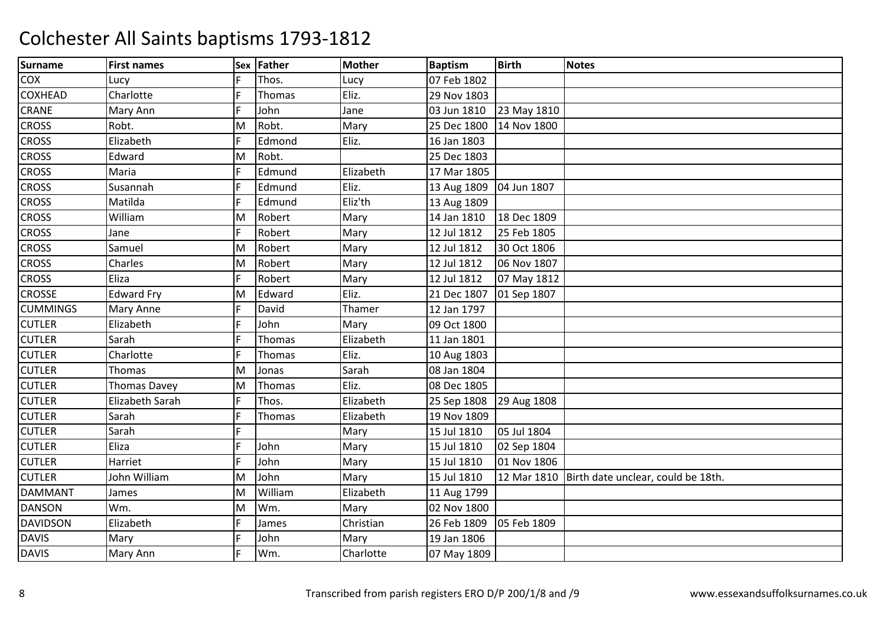| <b>Surname</b>  | <b>First names</b> |   | Sex Father | <b>Mother</b> | <b>Baptism</b> | <b>Birth</b> | <b>Notes</b>                                     |
|-----------------|--------------------|---|------------|---------------|----------------|--------------|--------------------------------------------------|
| <b>COX</b>      | Lucy               |   | Thos.      | Lucy          | 07 Feb 1802    |              |                                                  |
| <b>COXHEAD</b>  | Charlotte          |   | Thomas     | Eliz.         | 29 Nov 1803    |              |                                                  |
| <b>CRANE</b>    | Mary Ann           |   | John       | Jane          | 03 Jun 1810    | 23 May 1810  |                                                  |
| <b>CROSS</b>    | Robt.              | Μ | Robt.      | Mary          | 25 Dec 1800    | 14 Nov 1800  |                                                  |
| <b>CROSS</b>    | Elizabeth          |   | Edmond     | Eliz.         | 16 Jan 1803    |              |                                                  |
| <b>CROSS</b>    | Edward             | Μ | Robt.      |               | 25 Dec 1803    |              |                                                  |
| <b>CROSS</b>    | Maria              |   | Edmund     | Elizabeth     | 17 Mar 1805    |              |                                                  |
| <b>CROSS</b>    | Susannah           |   | Edmund     | Eliz.         | 13 Aug 1809    | 04 Jun 1807  |                                                  |
| <b>CROSS</b>    | Matilda            |   | Edmund     | Eliz'th       | 13 Aug 1809    |              |                                                  |
| <b>CROSS</b>    | William            | М | Robert     | Mary          | 14 Jan 1810    | 18 Dec 1809  |                                                  |
| <b>CROSS</b>    | Jane               |   | Robert     | Mary          | 12 Jul 1812    | 25 Feb 1805  |                                                  |
| <b>CROSS</b>    | Samuel             | Μ | Robert     | Mary          | 12 Jul 1812    | 30 Oct 1806  |                                                  |
| <b>CROSS</b>    | Charles            | M | Robert     | Mary          | 12 Jul 1812    | 06 Nov 1807  |                                                  |
| <b>CROSS</b>    | Eliza              |   | Robert     | Mary          | 12 Jul 1812    | 07 May 1812  |                                                  |
| <b>CROSSE</b>   | <b>Edward Fry</b>  | M | Edward     | Eliz.         | 21 Dec 1807    | 01 Sep 1807  |                                                  |
| <b>CUMMINGS</b> | <b>Mary Anne</b>   |   | David      | Thamer        | 12 Jan 1797    |              |                                                  |
| <b>CUTLER</b>   | Elizabeth          |   | John       | Mary          | 09 Oct 1800    |              |                                                  |
| <b>CUTLER</b>   | Sarah              |   | Thomas     | Elizabeth     | 11 Jan 1801    |              |                                                  |
| <b>CUTLER</b>   | Charlotte          |   | Thomas     | Eliz.         | 10 Aug 1803    |              |                                                  |
| <b>CUTLER</b>   | Thomas             | M | Jonas      | Sarah         | 08 Jan 1804    |              |                                                  |
| <b>CUTLER</b>   | Thomas Davey       | M | Thomas     | Eliz.         | 08 Dec 1805    |              |                                                  |
| <b>CUTLER</b>   | Elizabeth Sarah    |   | Thos.      | Elizabeth     | 25 Sep 1808    | 29 Aug 1808  |                                                  |
| <b>CUTLER</b>   | Sarah              |   | Thomas     | Elizabeth     | 19 Nov 1809    |              |                                                  |
| <b>CUTLER</b>   | Sarah              |   |            | Mary          | 15 Jul 1810    | 05 Jul 1804  |                                                  |
| <b>CUTLER</b>   | Eliza              |   | John       | Mary          | 15 Jul 1810    | 02 Sep 1804  |                                                  |
| <b>CUTLER</b>   | Harriet            |   | John       | Mary          | 15 Jul 1810    | 01 Nov 1806  |                                                  |
| <b>CUTLER</b>   | John William       | M | John       | Mary          | 15 Jul 1810    |              | 12 Mar 1810   Birth date unclear, could be 18th. |
| <b>DAMMANT</b>  | James              | M | William    | Elizabeth     | 11 Aug 1799    |              |                                                  |
| <b>DANSON</b>   | Wm.                | M | Wm.        | Mary          | 02 Nov 1800    |              |                                                  |
| <b>DAVIDSON</b> | Elizabeth          |   | James      | Christian     | 26 Feb 1809    | 05 Feb 1809  |                                                  |
| <b>DAVIS</b>    | Mary               |   | John       | Mary          | 19 Jan 1806    |              |                                                  |
| <b>DAVIS</b>    | Mary Ann           |   | Wm.        | Charlotte     | 07 May 1809    |              |                                                  |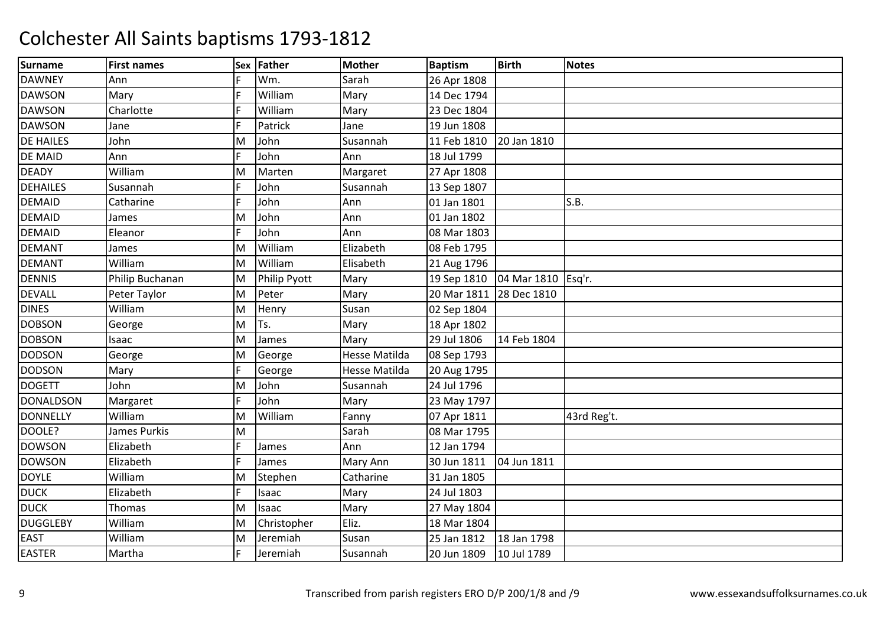| <b>Surname</b>   | <b>First names</b>  | Sex | Father       | <b>Mother</b>        | <b>Baptism</b> | <b>Birth</b>       | <b>Notes</b> |
|------------------|---------------------|-----|--------------|----------------------|----------------|--------------------|--------------|
| <b>DAWNEY</b>    | Ann                 |     | Wm.          | Sarah                | 26 Apr 1808    |                    |              |
| <b>DAWSON</b>    | Mary                |     | William      | Mary                 | 14 Dec 1794    |                    |              |
| <b>DAWSON</b>    | Charlotte           |     | William      | Mary                 | 23 Dec 1804    |                    |              |
| <b>DAWSON</b>    | Jane                |     | Patrick      | Jane                 | 19 Jun 1808    |                    |              |
| <b>DE HAILES</b> | John                | M   | John         | Susannah             | 11 Feb 1810    | 20 Jan 1810        |              |
| <b>DE MAID</b>   | Ann                 |     | John         | Ann                  | 18 Jul 1799    |                    |              |
| <b>DEADY</b>     | William             | M   | Marten       | Margaret             | 27 Apr 1808    |                    |              |
| <b>DEHAILES</b>  | Susannah            |     | John         | Susannah             | 13 Sep 1807    |                    |              |
| <b>DEMAID</b>    | Catharine           |     | John         | Ann                  | 01 Jan 1801    |                    | S.B.         |
| <b>DEMAID</b>    | James               | M   | John         | Ann                  | 01 Jan 1802    |                    |              |
| <b>DEMAID</b>    | Eleanor             |     | John         | Ann                  | 08 Mar 1803    |                    |              |
| <b>DEMANT</b>    | James               | M   | William      | Elizabeth            | 08 Feb 1795    |                    |              |
| <b>DEMANT</b>    | William             | M   | William      | Elisabeth            | 21 Aug 1796    |                    |              |
| <b>DENNIS</b>    | Philip Buchanan     | M   | Philip Pyott | Mary                 | 19 Sep 1810    | 04 Mar 1810 Esq'r. |              |
| <b>DEVALL</b>    | Peter Taylor        | M   | Peter        | Mary                 | 20 Mar 1811    | 28 Dec 1810        |              |
| <b>DINES</b>     | William             | M   | Henry        | Susan                | 02 Sep 1804    |                    |              |
| <b>DOBSON</b>    | George              | M   | Ts.          | Mary                 | 18 Apr 1802    |                    |              |
| <b>DOBSON</b>    | Isaac               | M   | James        | Mary                 | 29 Jul 1806    | 14 Feb 1804        |              |
| <b>DODSON</b>    | George              | M   | George       | <b>Hesse Matilda</b> | 08 Sep 1793    |                    |              |
| <b>DODSON</b>    | Mary                | F.  | George       | Hesse Matilda        | 20 Aug 1795    |                    |              |
| <b>DOGETT</b>    | John                | M   | John         | Susannah             | 24 Jul 1796    |                    |              |
| <b>DONALDSON</b> | Margaret            |     | John         | Mary                 | 23 May 1797    |                    |              |
| <b>DONNELLY</b>  | William             | M   | William      | Fanny                | 07 Apr 1811    |                    | 43rd Reg't.  |
| DOOLE?           | <b>James Purkis</b> | M   |              | Sarah                | 08 Mar 1795    |                    |              |
| <b>DOWSON</b>    | Elizabeth           |     | James        | Ann                  | 12 Jan 1794    |                    |              |
| <b>DOWSON</b>    | Elizabeth           |     | James        | Mary Ann             | 30 Jun 1811    | 04 Jun 1811        |              |
| <b>DOYLE</b>     | William             | M   | Stephen      | Catharine            | 31 Jan 1805    |                    |              |
| <b>DUCK</b>      | Elizabeth           | F.  | Isaac        | Mary                 | 24 Jul 1803    |                    |              |
| <b>DUCK</b>      | Thomas              | M   | Isaac        | Mary                 | 27 May 1804    |                    |              |
| <b>DUGGLEBY</b>  | William             | M   | Christopher  | Eliz.                | 18 Mar 1804    |                    |              |
| <b>EAST</b>      | William             | M   | Jeremiah     | Susan                | 25 Jan 1812    | 18 Jan 1798        |              |
| <b>EASTER</b>    | Martha              |     | Jeremiah     | Susannah             | 20 Jun 1809    | 10 Jul 1789        |              |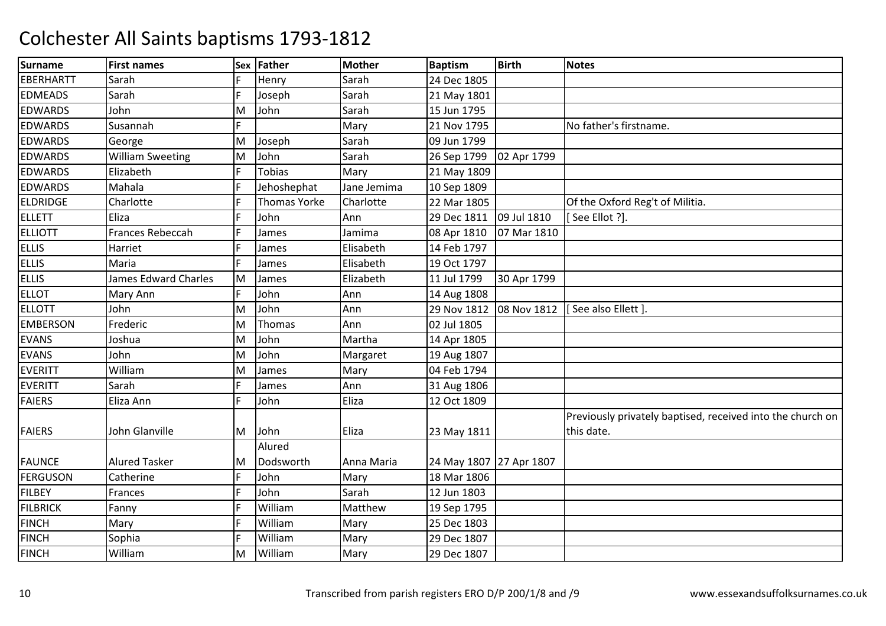| <b>Surname</b>   | <b>First names</b>          | Sex | Father              | <b>Mother</b> | <b>Baptism</b>          | <b>Birth</b> | <b>Notes</b>                                               |
|------------------|-----------------------------|-----|---------------------|---------------|-------------------------|--------------|------------------------------------------------------------|
| <b>EBERHARTT</b> | Sarah                       |     | Henry               | Sarah         | 24 Dec 1805             |              |                                                            |
| <b>EDMEADS</b>   | Sarah                       |     | Joseph              | Sarah         | 21 May 1801             |              |                                                            |
| <b>EDWARDS</b>   | John                        | M   | John                | Sarah         | 15 Jun 1795             |              |                                                            |
| <b>EDWARDS</b>   | Susannah                    | F.  |                     | Mary          | 21 Nov 1795             |              | No father's firstname.                                     |
| <b>EDWARDS</b>   | George                      | M   | Joseph              | Sarah         | 09 Jun 1799             |              |                                                            |
| <b>EDWARDS</b>   | <b>William Sweeting</b>     | M   | John                | Sarah         | 26 Sep 1799             | 02 Apr 1799  |                                                            |
| <b>EDWARDS</b>   | Elizabeth                   |     | <b>Tobias</b>       | Mary          | 21 May 1809             |              |                                                            |
| <b>EDWARDS</b>   | Mahala                      |     | Jehoshephat         | Jane Jemima   | 10 Sep 1809             |              |                                                            |
| <b>ELDRIDGE</b>  | Charlotte                   |     | <b>Thomas Yorke</b> | Charlotte     | 22 Mar 1805             |              | Of the Oxford Reg't of Militia.                            |
| <b>ELLETT</b>    | Eliza                       |     | John                | Ann           | 29 Dec 1811             | 09 Jul 1810  | [See Ellot ?].                                             |
| <b>ELLIOTT</b>   | Frances Rebeccah            |     | James               | Jamima        | 08 Apr 1810             | 07 Mar 1810  |                                                            |
| <b>ELLIS</b>     | Harriet                     |     | James               | Elisabeth     | 14 Feb 1797             |              |                                                            |
| <b>ELLIS</b>     | Maria                       |     | James               | Elisabeth     | 19 Oct 1797             |              |                                                            |
| <b>ELLIS</b>     | <b>James Edward Charles</b> | M   | James               | Elizabeth     | 11 Jul 1799             | 30 Apr 1799  |                                                            |
| <b>ELLOT</b>     | Mary Ann                    |     | John                | Ann           | 14 Aug 1808             |              |                                                            |
| <b>ELLOTT</b>    | John                        | M   | John                | Ann           | 29 Nov 1812             | 08 Nov 1812  | [See also Ellett]                                          |
| <b>EMBERSON</b>  | Frederic                    | M   | Thomas              | Ann           | 02 Jul 1805             |              |                                                            |
| <b>EVANS</b>     | Joshua                      | M   | John                | Martha        | 14 Apr 1805             |              |                                                            |
| <b>EVANS</b>     | John                        | M   | John                | Margaret      | 19 Aug 1807             |              |                                                            |
| <b>EVERITT</b>   | William                     | M   | James               | Mary          | 04 Feb 1794             |              |                                                            |
| <b>EVERITT</b>   | Sarah                       |     | James               | Ann           | 31 Aug 1806             |              |                                                            |
| <b>FAIERS</b>    | Eliza Ann                   | Е   | John                | Eliza         | 12 Oct 1809             |              |                                                            |
|                  |                             |     |                     |               |                         |              | Previously privately baptised, received into the church on |
| <b>FAIERS</b>    | John Glanville              | M   | John                | Eliza         | 23 May 1811             |              | this date.                                                 |
|                  |                             |     | Alured              |               |                         |              |                                                            |
| <b>FAUNCE</b>    | <b>Alured Tasker</b>        | M   | Dodsworth           | Anna Maria    | 24 May 1807 27 Apr 1807 |              |                                                            |
| <b>FERGUSON</b>  | Catherine                   |     | John                | Mary          | 18 Mar 1806             |              |                                                            |
| <b>FILBEY</b>    | Frances                     |     | John                | Sarah         | 12 Jun 1803             |              |                                                            |
| <b>FILBRICK</b>  | Fanny                       |     | William             | Matthew       | 19 Sep 1795             |              |                                                            |
| <b>FINCH</b>     | Mary                        |     | William             | Mary          | 25 Dec 1803             |              |                                                            |
| <b>FINCH</b>     | Sophia                      |     | William             | Mary          | 29 Dec 1807             |              |                                                            |
| <b>FINCH</b>     | William                     | M   | William             | Mary          | 29 Dec 1807             |              |                                                            |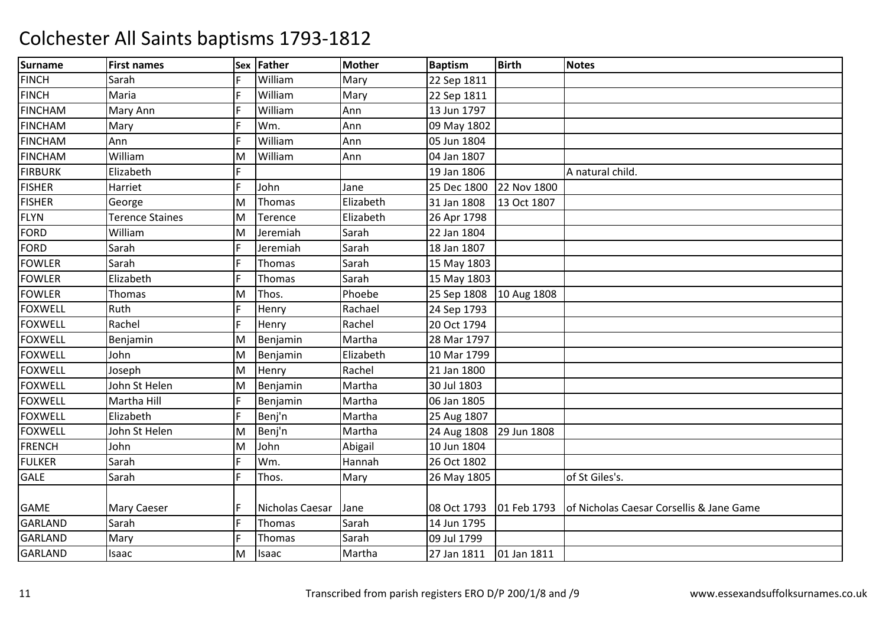| <b>Surname</b> | <b>First names</b>     | Sex | <b>Father</b>   | <b>Mother</b> | <b>Baptism</b> | <b>Birth</b> | <b>Notes</b>                             |
|----------------|------------------------|-----|-----------------|---------------|----------------|--------------|------------------------------------------|
| <b>FINCH</b>   | Sarah                  |     | William         | Mary          | 22 Sep 1811    |              |                                          |
| <b>FINCH</b>   | Maria                  |     | William         | Mary          | 22 Sep 1811    |              |                                          |
| <b>FINCHAM</b> | Mary Ann               |     | William         | Ann           | 13 Jun 1797    |              |                                          |
| <b>FINCHAM</b> | Mary                   |     | Wm.             | Ann           | 09 May 1802    |              |                                          |
| <b>FINCHAM</b> | Ann                    |     | William         | Ann           | 05 Jun 1804    |              |                                          |
| <b>FINCHAM</b> | William                | M   | William         | Ann           | 04 Jan 1807    |              |                                          |
| <b>FIRBURK</b> | Elizabeth              |     |                 |               | 19 Jan 1806    |              | A natural child.                         |
| <b>FISHER</b>  | Harriet                |     | John            | Jane          | 25 Dec 1800    | 22 Nov 1800  |                                          |
| <b>FISHER</b>  | George                 | M   | Thomas          | Elizabeth     | 31 Jan 1808    | 13 Oct 1807  |                                          |
| <b>FLYN</b>    | <b>Terence Staines</b> | M   | Terence         | Elizabeth     | 26 Apr 1798    |              |                                          |
| <b>FORD</b>    | William                | M   | Jeremiah        | Sarah         | 22 Jan 1804    |              |                                          |
| <b>FORD</b>    | Sarah                  |     | Jeremiah        | Sarah         | 18 Jan 1807    |              |                                          |
| <b>FOWLER</b>  | Sarah                  |     | Thomas          | Sarah         | 15 May 1803    |              |                                          |
| <b>FOWLER</b>  | Elizabeth              |     | Thomas          | Sarah         | 15 May 1803    |              |                                          |
| <b>FOWLER</b>  | <b>Thomas</b>          | M   | Thos.           | Phoebe        | 25 Sep 1808    | 10 Aug 1808  |                                          |
| <b>FOXWELL</b> | Ruth                   |     | Henry           | Rachael       | 24 Sep 1793    |              |                                          |
| <b>FOXWELL</b> | Rachel                 |     | Henry           | Rachel        | 20 Oct 1794    |              |                                          |
| <b>FOXWELL</b> | Benjamin               | M   | Benjamin        | Martha        | 28 Mar 1797    |              |                                          |
| <b>FOXWELL</b> | John                   | M   | Benjamin        | Elizabeth     | 10 Mar 1799    |              |                                          |
| <b>FOXWELL</b> | Joseph                 | Μ   | Henry           | Rachel        | 21 Jan 1800    |              |                                          |
| <b>FOXWELL</b> | John St Helen          | М   | Benjamin        | Martha        | 30 Jul 1803    |              |                                          |
| <b>FOXWELL</b> | Martha Hill            |     | Benjamin        | Martha        | 06 Jan 1805    |              |                                          |
| <b>FOXWELL</b> | Elizabeth              |     | Benj'n          | Martha        | 25 Aug 1807    |              |                                          |
| <b>FOXWELL</b> | John St Helen          | M   | Benj'n          | Martha        | 24 Aug 1808    | 29 Jun 1808  |                                          |
| <b>FRENCH</b>  | John                   | M   | John            | Abigail       | 10 Jun 1804    |              |                                          |
| <b>FULKER</b>  | Sarah                  |     | Wm.             | Hannah        | 26 Oct 1802    |              |                                          |
| <b>GALE</b>    | Sarah                  | E.  | Thos.           | Mary          | 26 May 1805    |              | of St Giles's.                           |
|                |                        |     |                 |               |                |              |                                          |
| <b>GAME</b>    | <b>Mary Caeser</b>     |     | Nicholas Caesar | Jane          | 08 Oct 1793    | 01 Feb 1793  | of Nicholas Caesar Corsellis & Jane Game |
| <b>GARLAND</b> | Sarah                  | F.  | Thomas          | Sarah         | 14 Jun 1795    |              |                                          |
| <b>GARLAND</b> | Mary                   |     | Thomas          | Sarah         | 09 Jul 1799    |              |                                          |
| <b>GARLAND</b> | Isaac                  | Μ   | Isaac           | Martha        | 27 Jan 1811    | 01 Jan 1811  |                                          |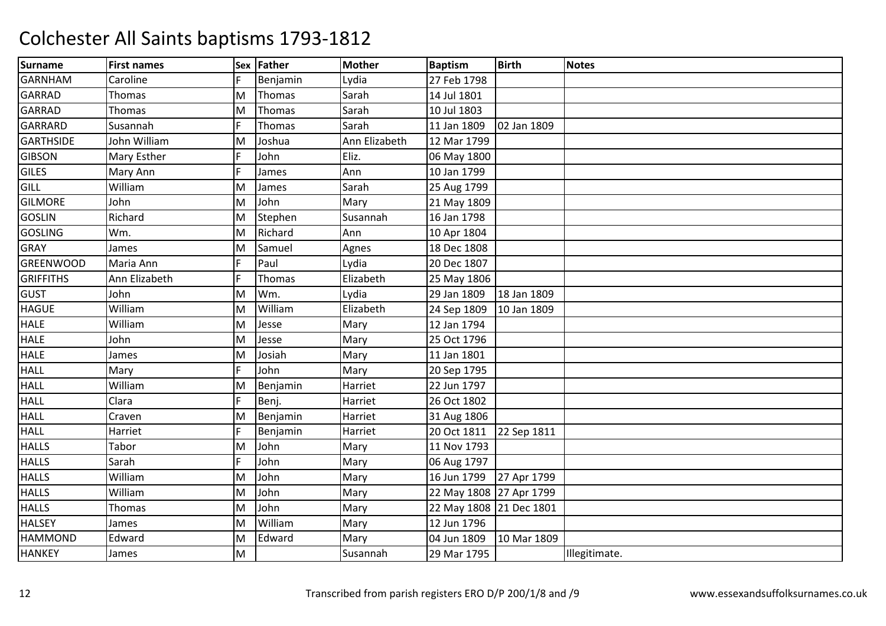| <b>Surname</b>   | <b>First names</b> | Sex | Father   | <b>Mother</b> | <b>Baptism</b>          | <b>Birth</b> | <b>Notes</b>  |
|------------------|--------------------|-----|----------|---------------|-------------------------|--------------|---------------|
| <b>GARNHAM</b>   | Caroline           |     | Benjamin | Lydia         | 27 Feb 1798             |              |               |
| <b>GARRAD</b>    | Thomas             | M   | Thomas   | Sarah         | 14 Jul 1801             |              |               |
| GARRAD           | <b>Thomas</b>      | M   | Thomas   | Sarah         | 10 Jul 1803             |              |               |
| GARRARD          | Susannah           |     | Thomas   | Sarah         | 11 Jan 1809             | 02 Jan 1809  |               |
| <b>GARTHSIDE</b> | John William       | M   | Joshua   | Ann Elizabeth | 12 Mar 1799             |              |               |
| <b>GIBSON</b>    | <b>Mary Esther</b> |     | John     | Eliz.         | 06 May 1800             |              |               |
| <b>GILES</b>     | Mary Ann           |     | James    | Ann           | 10 Jan 1799             |              |               |
| GILL             | William            | M   | James    | Sarah         | 25 Aug 1799             |              |               |
| <b>GILMORE</b>   | John               | M   | John     | Mary          | 21 May 1809             |              |               |
| <b>GOSLIN</b>    | Richard            | M   | Stephen  | Susannah      | 16 Jan 1798             |              |               |
| <b>GOSLING</b>   | Wm.                | M   | Richard  | Ann           | 10 Apr 1804             |              |               |
| <b>GRAY</b>      | James              | M   | Samuel   | Agnes         | 18 Dec 1808             |              |               |
| <b>GREENWOOD</b> | Maria Ann          |     | Paul     | Lydia         | 20 Dec 1807             |              |               |
| <b>GRIFFITHS</b> | Ann Elizabeth      |     | Thomas   | Elizabeth     | 25 May 1806             |              |               |
| <b>GUST</b>      | John               | M   | Wm.      | Lydia         | 29 Jan 1809             | 18 Jan 1809  |               |
| <b>HAGUE</b>     | William            | M   | William  | Elizabeth     | 24 Sep 1809             | 10 Jan 1809  |               |
| <b>HALE</b>      | William            | м   | Jesse    | Mary          | 12 Jan 1794             |              |               |
| <b>HALE</b>      | John               | M   | Jesse    | Mary          | 25 Oct 1796             |              |               |
| <b>HALE</b>      | James              | M   | Josiah   | Mary          | 11 Jan 1801             |              |               |
| <b>HALL</b>      | Mary               |     | John     | Mary          | 20 Sep 1795             |              |               |
| <b>HALL</b>      | William            | M   | Benjamin | Harriet       | 22 Jun 1797             |              |               |
| <b>HALL</b>      | Clara              | F   | Benj.    | Harriet       | 26 Oct 1802             |              |               |
| <b>HALL</b>      | Craven             | M   | Benjamin | Harriet       | 31 Aug 1806             |              |               |
| <b>HALL</b>      | Harriet            | F   | Benjamin | Harriet       | 20 Oct 1811             | 22 Sep 1811  |               |
| <b>HALLS</b>     | Tabor              | м   | John     | Mary          | 11 Nov 1793             |              |               |
| <b>HALLS</b>     | Sarah              |     | John     | Mary          | 06 Aug 1797             |              |               |
| <b>HALLS</b>     | William            | M   | John     | Mary          | 16 Jun 1799             | 27 Apr 1799  |               |
| <b>HALLS</b>     | William            | м   | John     | Mary          | 22 May 1808 27 Apr 1799 |              |               |
| <b>HALLS</b>     | <b>Thomas</b>      | M   | John     | Mary          | 22 May 1808 21 Dec 1801 |              |               |
| <b>HALSEY</b>    | James              | M   | William  | Mary          | 12 Jun 1796             |              |               |
| <b>HAMMOND</b>   | Edward             | M   | Edward   | Mary          | 04 Jun 1809             | 10 Mar 1809  |               |
| <b>HANKEY</b>    | James              | M   |          | Susannah      | 29 Mar 1795             |              | Illegitimate. |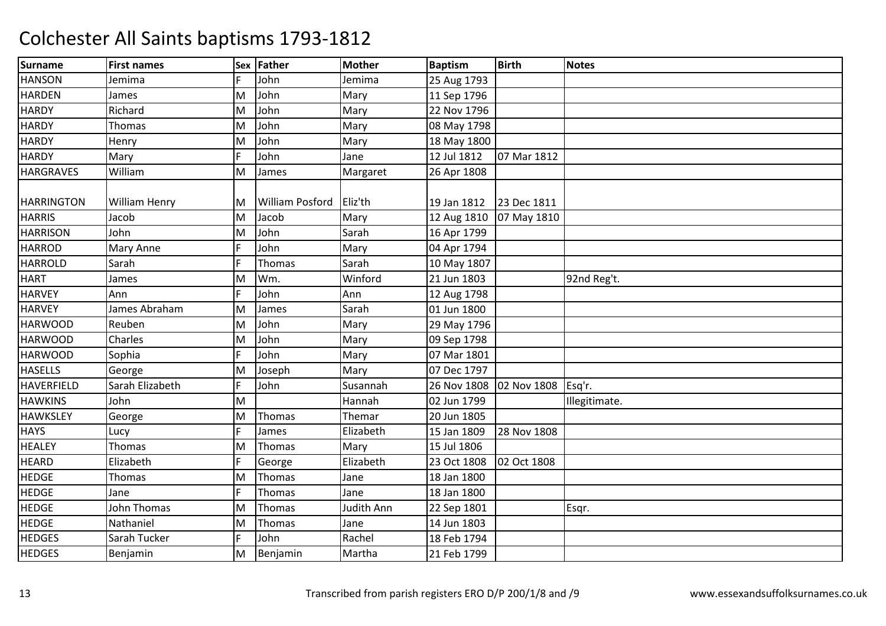| Surname           | <b>First names</b>   | Sex | Father                 | <b>Mother</b> | <b>Baptism</b> | <b>Birth</b> | <b>Notes</b>  |
|-------------------|----------------------|-----|------------------------|---------------|----------------|--------------|---------------|
| <b>HANSON</b>     | Jemima               |     | John                   | Jemima        | 25 Aug 1793    |              |               |
| <b>HARDEN</b>     | James                | M   | John                   | Mary          | 11 Sep 1796    |              |               |
| <b>HARDY</b>      | Richard              | M   | John                   | Mary          | 22 Nov 1796    |              |               |
| <b>HARDY</b>      | <b>Thomas</b>        | M   | John                   | Mary          | 08 May 1798    |              |               |
| <b>HARDY</b>      | Henry                | M   | John                   | Mary          | 18 May 1800    |              |               |
| <b>HARDY</b>      | Mary                 |     | John                   | Jane          | 12 Jul 1812    | 07 Mar 1812  |               |
| <b>HARGRAVES</b>  | William              | M   | James                  | Margaret      | 26 Apr 1808    |              |               |
| <b>HARRINGTON</b> | <b>William Henry</b> | M   | <b>William Posford</b> | Eliz'th       | 19 Jan 1812    | 23 Dec 1811  |               |
| <b>HARRIS</b>     | Jacob                | M   | Jacob                  | Mary          | 12 Aug 1810    | 07 May 1810  |               |
| <b>HARRISON</b>   | John                 | M   | John                   | Sarah         | 16 Apr 1799    |              |               |
| <b>HARROD</b>     | Mary Anne            |     | John                   | Mary          | 04 Apr 1794    |              |               |
| <b>HARROLD</b>    | Sarah                |     | Thomas                 | Sarah         | 10 May 1807    |              |               |
| <b>HART</b>       | James                | M   | Wm.                    | Winford       | 21 Jun 1803    |              | 92nd Reg't.   |
| <b>HARVEY</b>     | Ann                  |     | John                   | Ann           | 12 Aug 1798    |              |               |
| <b>HARVEY</b>     | James Abraham        | M   | James                  | Sarah         | 01 Jun 1800    |              |               |
| <b>HARWOOD</b>    | Reuben               | M   | John                   | Mary          | 29 May 1796    |              |               |
| <b>HARWOOD</b>    | Charles              | M   | John                   | Mary          | 09 Sep 1798    |              |               |
| <b>HARWOOD</b>    | Sophia               |     | John                   | Mary          | 07 Mar 1801    |              |               |
| <b>HASELLS</b>    | George               | M   | Joseph                 | Mary          | 07 Dec 1797    |              |               |
| <b>HAVERFIELD</b> | Sarah Elizabeth      |     | John                   | Susannah      | 26 Nov 1808    | 02 Nov 1808  | Esq'r.        |
| <b>HAWKINS</b>    | John                 | M   |                        | Hannah        | 02 Jun 1799    |              | Illegitimate. |
| <b>HAWKSLEY</b>   | George               | M   | Thomas                 | Themar        | 20 Jun 1805    |              |               |
| <b>HAYS</b>       | Lucy                 |     | James                  | Elizabeth     | 15 Jan 1809    | 28 Nov 1808  |               |
| <b>HEALEY</b>     | Thomas               | M   | Thomas                 | Mary          | 15 Jul 1806    |              |               |
| <b>HEARD</b>      | Elizabeth            |     | George                 | Elizabeth     | 23 Oct 1808    | 02 Oct 1808  |               |
| <b>HEDGE</b>      | Thomas               | M   | Thomas                 | Jane          | 18 Jan 1800    |              |               |
| <b>HEDGE</b>      | Jane                 |     | Thomas                 | Jane          | 18 Jan 1800    |              |               |
| <b>HEDGE</b>      | John Thomas          | M   | Thomas                 | Judith Ann    | 22 Sep 1801    |              | Esqr.         |
| <b>HEDGE</b>      | Nathaniel            | M   | Thomas                 | Jane          | 14 Jun 1803    |              |               |
| <b>HEDGES</b>     | Sarah Tucker         | E.  | John                   | Rachel        | 18 Feb 1794    |              |               |
| <b>HEDGES</b>     | Benjamin             | M   | Benjamin               | Martha        | 21 Feb 1799    |              |               |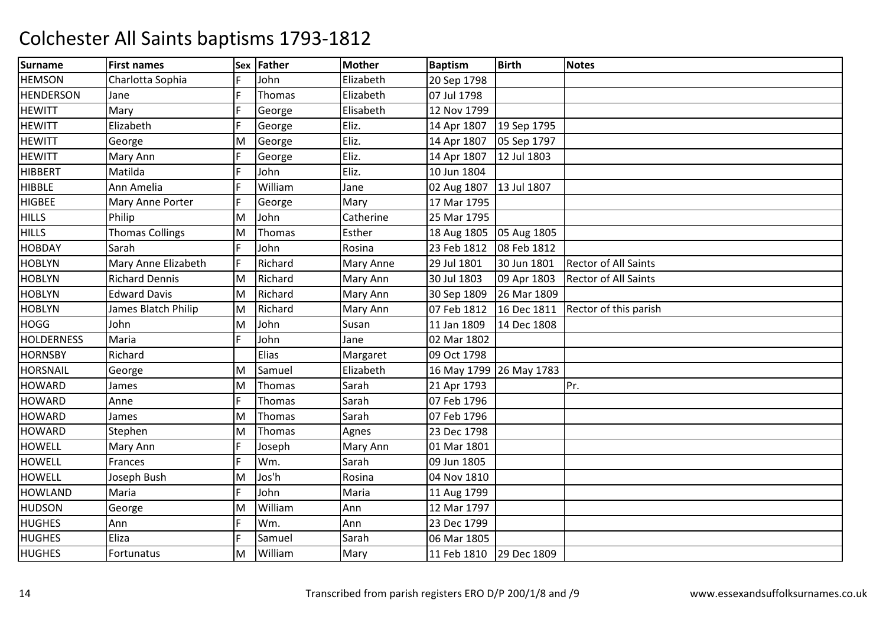| <b>Surname</b>    | <b>First names</b>     | Sex | Father  | <b>Mother</b>    | <b>Baptism</b>          | <b>Birth</b> | <b>Notes</b>                |
|-------------------|------------------------|-----|---------|------------------|-------------------------|--------------|-----------------------------|
| <b>HEMSON</b>     | Charlotta Sophia       |     | John    | Elizabeth        | 20 Sep 1798             |              |                             |
| <b>HENDERSON</b>  | Jane                   |     | Thomas  | Elizabeth        | 07 Jul 1798             |              |                             |
| <b>HEWITT</b>     | Mary                   |     | George  | Elisabeth        | 12 Nov 1799             |              |                             |
| <b>HEWITT</b>     | Elizabeth              |     | George  | Eliz.            | 14 Apr 1807             | 19 Sep 1795  |                             |
| <b>HEWITT</b>     | George                 | M   | George  | Eliz.            | 14 Apr 1807             | 05 Sep 1797  |                             |
| <b>HEWITT</b>     | Mary Ann               |     | George  | Eliz.            | 14 Apr 1807             | 12 Jul 1803  |                             |
| <b>HIBBERT</b>    | Matilda                |     | John    | Eliz.            | 10 Jun 1804             |              |                             |
| <b>HIBBLE</b>     | Ann Amelia             |     | William | Jane             | 02 Aug 1807 13 Jul 1807 |              |                             |
| <b>HIGBEE</b>     | Mary Anne Porter       |     | George  | Mary             | 17 Mar 1795             |              |                             |
| <b>HILLS</b>      | Philip                 | M   | John    | Catherine        | 25 Mar 1795             |              |                             |
| <b>HILLS</b>      | <b>Thomas Collings</b> | M   | Thomas  | Esther           | 18 Aug 1805             | 05 Aug 1805  |                             |
| <b>HOBDAY</b>     | Sarah                  |     | John    | Rosina           | 23 Feb 1812             | 08 Feb 1812  |                             |
| <b>HOBLYN</b>     | Mary Anne Elizabeth    |     | Richard | <b>Mary Anne</b> | 29 Jul 1801             | 30 Jun 1801  | <b>Rector of All Saints</b> |
| <b>HOBLYN</b>     | <b>Richard Dennis</b>  | M   | Richard | Mary Ann         | 30 Jul 1803             | 09 Apr 1803  | <b>Rector of All Saints</b> |
| <b>HOBLYN</b>     | <b>Edward Davis</b>    | M   | Richard | Mary Ann         | 30 Sep 1809             | 26 Mar 1809  |                             |
| <b>HOBLYN</b>     | James Blatch Philip    | Μ   | Richard | Mary Ann         | 07 Feb 1812             | 16 Dec 1811  | Rector of this parish       |
| <b>HOGG</b>       | John                   | M   | John    | Susan            | 11 Jan 1809             | 14 Dec 1808  |                             |
| <b>HOLDERNESS</b> | Maria                  |     | John    | Jane             | 02 Mar 1802             |              |                             |
| <b>HORNSBY</b>    | Richard                |     | Elias   | Margaret         | 09 Oct 1798             |              |                             |
| <b>HORSNAIL</b>   | George                 | Μ   | Samuel  | Elizabeth        | 16 May 1799 26 May 1783 |              |                             |
| <b>HOWARD</b>     | James                  | M   | Thomas  | Sarah            | 21 Apr 1793             |              | Pr.                         |
| <b>HOWARD</b>     | Anne                   |     | Thomas  | Sarah            | 07 Feb 1796             |              |                             |
| <b>HOWARD</b>     | James                  | M   | Thomas  | Sarah            | 07 Feb 1796             |              |                             |
| <b>HOWARD</b>     | Stephen                | M   | Thomas  | Agnes            | 23 Dec 1798             |              |                             |
| <b>HOWELL</b>     | Mary Ann               |     | Joseph  | Mary Ann         | 01 Mar 1801             |              |                             |
| <b>HOWELL</b>     | Frances                |     | Wm.     | Sarah            | 09 Jun 1805             |              |                             |
| <b>HOWELL</b>     | Joseph Bush            | м   | Jos'h   | Rosina           | 04 Nov 1810             |              |                             |
| <b>HOWLAND</b>    | Maria                  |     | John    | Maria            | 11 Aug 1799             |              |                             |
| <b>HUDSON</b>     | George                 | Μ   | William | Ann              | 12 Mar 1797             |              |                             |
| <b>HUGHES</b>     | Ann                    |     | Wm.     | Ann              | 23 Dec 1799             |              |                             |
| <b>HUGHES</b>     | Eliza                  |     | Samuel  | Sarah            | 06 Mar 1805             |              |                             |
| <b>HUGHES</b>     | Fortunatus             | M   | William | Mary             | 11 Feb 1810             | 29 Dec 1809  |                             |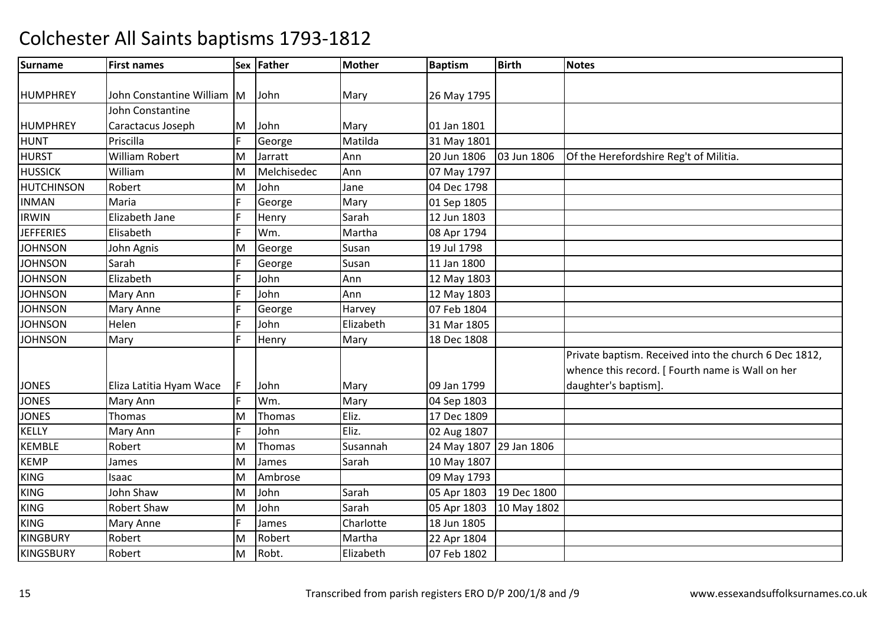| <b>Surname</b>    | <b>First names</b>         |    | Sex Father  | <b>Mother</b> | <b>Baptism</b>          | <b>Birth</b> | <b>Notes</b>                                          |
|-------------------|----------------------------|----|-------------|---------------|-------------------------|--------------|-------------------------------------------------------|
|                   |                            |    |             |               |                         |              |                                                       |
| HUMPHREY          | John Constantine William M |    | John        | Mary          | 26 May 1795             |              |                                                       |
|                   | John Constantine           |    |             |               |                         |              |                                                       |
| HUMPHREY          | Caractacus Joseph          | M  | John        | Mary          | 01 Jan 1801             |              |                                                       |
| <b>HUNT</b>       | Priscilla                  | F. | George      | Matilda       | 31 May 1801             |              |                                                       |
| <b>HURST</b>      | William Robert             | M  | Jarratt     | Ann           | 20 Jun 1806             | 03 Jun 1806  | Of the Herefordshire Reg't of Militia.                |
| <b>HUSSICK</b>    | William                    | M  | Melchisedec | Ann           | 07 May 1797             |              |                                                       |
| <b>HUTCHINSON</b> | Robert                     | M  | John        | Jane          | 04 Dec 1798             |              |                                                       |
| <b>INMAN</b>      | Maria                      | F. | George      | Mary          | 01 Sep 1805             |              |                                                       |
| <b>IRWIN</b>      | Elizabeth Jane             |    | Henry       | Sarah         | 12 Jun 1803             |              |                                                       |
| <b>JEFFERIES</b>  | Elisabeth                  |    | Wm.         | Martha        | 08 Apr 1794             |              |                                                       |
| <b>JOHNSON</b>    | John Agnis                 | M  | George      | Susan         | 19 Jul 1798             |              |                                                       |
| <b>JOHNSON</b>    | Sarah                      |    | George      | Susan         | 11 Jan 1800             |              |                                                       |
| <b>JOHNSON</b>    | Elizabeth                  |    | John        | Ann           | 12 May 1803             |              |                                                       |
| <b>JOHNSON</b>    | Mary Ann                   |    | John        | Ann           | 12 May 1803             |              |                                                       |
| <b>JOHNSON</b>    | <b>Mary Anne</b>           |    | George      | Harvey        | 07 Feb 1804             |              |                                                       |
| <b>JOHNSON</b>    | Helen                      | F  | John        | Elizabeth     | 31 Mar 1805             |              |                                                       |
| <b>JOHNSON</b>    | Mary                       | E  | Henry       | Mary          | 18 Dec 1808             |              |                                                       |
|                   |                            |    |             |               |                         |              | Private baptism. Received into the church 6 Dec 1812, |
|                   |                            |    |             |               |                         |              | whence this record. [ Fourth name is Wall on her      |
| <b>JONES</b>      | Eliza Latitia Hyam Wace    | F. | John        | Mary          | 09 Jan 1799             |              | daughter's baptism].                                  |
| <b>JONES</b>      | Mary Ann                   | F  | Wm.         | Mary          | 04 Sep 1803             |              |                                                       |
| <b>JONES</b>      | Thomas                     | M  | Thomas      | Eliz.         | 17 Dec 1809             |              |                                                       |
| <b>KELLY</b>      | Mary Ann                   | F  | John        | Eliz.         | 02 Aug 1807             |              |                                                       |
| <b>KEMBLE</b>     | Robert                     | M  | Thomas      | Susannah      | 24 May 1807 29 Jan 1806 |              |                                                       |
| <b>KEMP</b>       | James                      | M  | James       | Sarah         | 10 May 1807             |              |                                                       |
| <b>KING</b>       | Isaac                      | M  | Ambrose     |               | 09 May 1793             |              |                                                       |
| <b>KING</b>       | John Shaw                  | M  | John        | Sarah         | 05 Apr 1803             | 19 Dec 1800  |                                                       |
| <b>KING</b>       | <b>Robert Shaw</b>         | M  | John        | Sarah         | 05 Apr 1803             | 10 May 1802  |                                                       |
| <b>KING</b>       | <b>Mary Anne</b>           | F. | James       | Charlotte     | 18 Jun 1805             |              |                                                       |
| <b>KINGBURY</b>   | Robert                     | M  | Robert      | Martha        | 22 Apr 1804             |              |                                                       |
| <b>KINGSBURY</b>  | Robert                     | M  | Robt.       | Elizabeth     | 07 Feb 1802             |              |                                                       |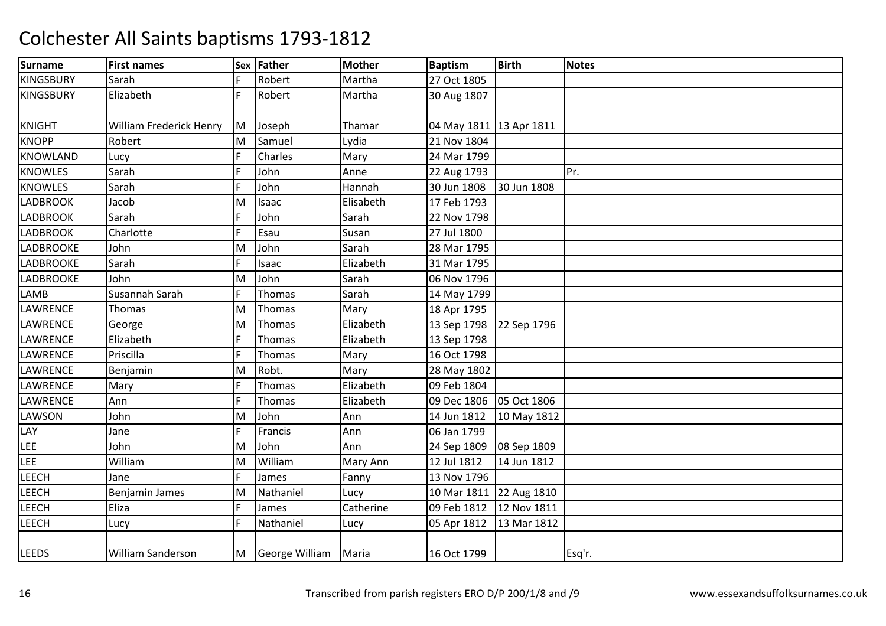| <b>Surname</b>   | <b>First names</b>       | Sex | Father         | <b>Mother</b> | <b>Baptism</b>            | <b>Birth</b> | <b>Notes</b> |
|------------------|--------------------------|-----|----------------|---------------|---------------------------|--------------|--------------|
| <b>KINGSBURY</b> | Sarah                    |     | Robert         | Martha        | 27 Oct 1805               |              |              |
| <b>KINGSBURY</b> | Elizabeth                | F   | Robert         | Martha        | 30 Aug 1807               |              |              |
|                  |                          |     |                |               |                           |              |              |
| <b>KNIGHT</b>    | William Frederick Henry  | M   | Joseph         | Thamar        | 04 May 1811 13 Apr 1811   |              |              |
| <b>KNOPP</b>     | Robert                   | M   | Samuel         | Lydia         | 21 Nov 1804               |              |              |
| <b>KNOWLAND</b>  | Lucy                     |     | Charles        | Mary          | 24 Mar 1799               |              |              |
| <b>KNOWLES</b>   | Sarah                    |     | John           | Anne          | 22 Aug 1793               |              | Pr.          |
| <b>KNOWLES</b>   | Sarah                    |     | John           | Hannah        | 30 Jun 1808               | 30 Jun 1808  |              |
| <b>LADBROOK</b>  | Jacob                    | M   | Isaac          | Elisabeth     | 17 Feb 1793               |              |              |
| <b>LADBROOK</b>  | Sarah                    |     | John           | Sarah         | 22 Nov 1798               |              |              |
| <b>LADBROOK</b>  | Charlotte                |     | Esau           | Susan         | 27 Jul 1800               |              |              |
| <b>LADBROOKE</b> | John                     | M   | John           | Sarah         | 28 Mar 1795               |              |              |
| <b>LADBROOKE</b> | Sarah                    | F.  | Isaac          | Elizabeth     | 31 Mar 1795               |              |              |
| LADBROOKE        | John                     | M   | John           | Sarah         | 06 Nov 1796               |              |              |
| <b>LAMB</b>      | Susannah Sarah           | F   | Thomas         | Sarah         | 14 May 1799               |              |              |
| <b>LAWRENCE</b>  | <b>Thomas</b>            | M   | Thomas         | Mary          | 18 Apr 1795               |              |              |
| <b>LAWRENCE</b>  | George                   | M   | Thomas         | Elizabeth     | 13 Sep 1798 22 Sep 1796   |              |              |
| LAWRENCE         | Elizabeth                |     | Thomas         | Elizabeth     | 13 Sep 1798               |              |              |
| <b>LAWRENCE</b>  | Priscilla                |     | Thomas         | Mary          | 16 Oct 1798               |              |              |
| <b>LAWRENCE</b>  | Benjamin                 | M   | Robt.          | Mary          | 28 May 1802               |              |              |
| LAWRENCE         | Mary                     |     | Thomas         | Elizabeth     | 09 Feb 1804               |              |              |
| LAWRENCE         | Ann                      |     | Thomas         | Elizabeth     | 09 Dec 1806 05 Oct 1806   |              |              |
| LAWSON           | John                     | M   | John           | Ann           | 14 Jun 1812               | 10 May 1812  |              |
| LAY              | Jane                     |     | Francis        | Ann           | 06 Jan 1799               |              |              |
| LEE              | John                     | M   | John           | Ann           | 24 Sep 1809               | 08 Sep 1809  |              |
| <b>LEE</b>       | William                  | M   | William        | Mary Ann      | 12 Jul 1812               | 14 Jun 1812  |              |
| LEECH            | Jane                     |     | James          | Fanny         | 13 Nov 1796               |              |              |
| LEECH            | <b>Benjamin James</b>    | M   | Nathaniel      | Lucy          | 10 Mar 1811 22 Aug 1810   |              |              |
| <b>LEECH</b>     | Eliza                    |     | James          | Catherine     | 09 Feb 1812 12 Nov 1811   |              |              |
| <b>LEECH</b>     | Lucy                     | F   | Nathaniel      | Lucy          | 05 Apr 1812   13 Mar 1812 |              |              |
|                  |                          |     |                |               |                           |              |              |
| <b>LEEDS</b>     | <b>William Sanderson</b> | M   | George William | Maria         | 16 Oct 1799               |              | Esq'r.       |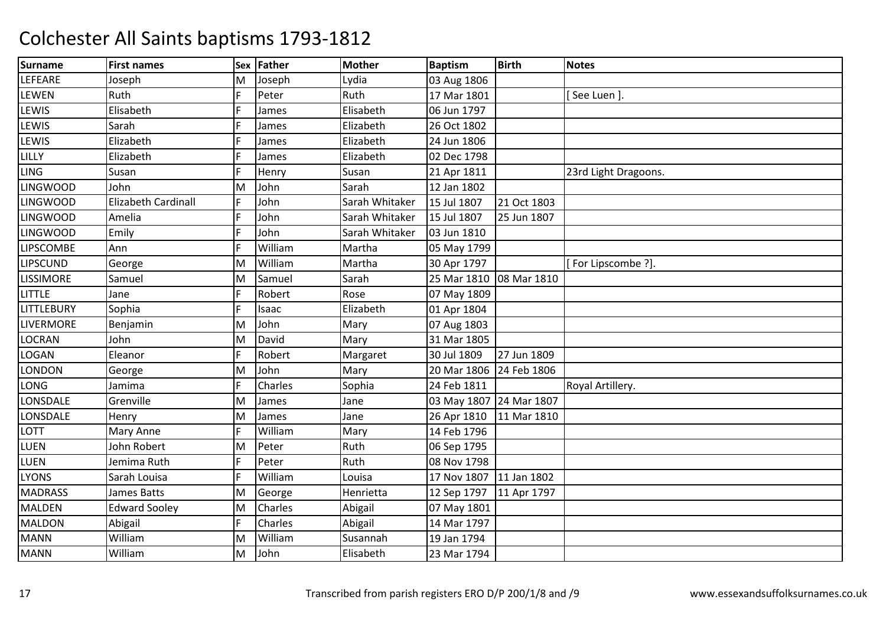| <b>Surname</b>   | <b>First names</b>         | Sex | Father  | <b>Mother</b>  | <b>Baptism</b>          | <b>Birth</b> | <b>Notes</b>         |
|------------------|----------------------------|-----|---------|----------------|-------------------------|--------------|----------------------|
| LEFEARE          | Joseph                     | M   | Joseph  | Lydia          | 03 Aug 1806             |              |                      |
| LEWEN            | Ruth                       |     | Peter   | Ruth           | 17 Mar 1801             |              | See Luen ].          |
| LEWIS            | Elisabeth                  |     | James   | Elisabeth      | 06 Jun 1797             |              |                      |
| LEWIS            | Sarah                      |     | James   | Elizabeth      | 26 Oct 1802             |              |                      |
| LEWIS            | Elizabeth                  |     | James   | Elizabeth      | 24 Jun 1806             |              |                      |
| LILLY            | Elizabeth                  |     | James   | Elizabeth      | 02 Dec 1798             |              |                      |
| <b>LING</b>      | Susan                      |     | Henry   | Susan          | 21 Apr 1811             |              | 23rd Light Dragoons. |
| <b>LINGWOOD</b>  | John                       | M   | John    | Sarah          | 12 Jan 1802             |              |                      |
| <b>LINGWOOD</b>  | <b>Elizabeth Cardinall</b> |     | John    | Sarah Whitaker | 15 Jul 1807             | 21 Oct 1803  |                      |
| <b>LINGWOOD</b>  | Amelia                     |     | John    | Sarah Whitaker | 15 Jul 1807             | 25 Jun 1807  |                      |
| <b>LINGWOOD</b>  | Emily                      |     | John    | Sarah Whitaker | 03 Jun 1810             |              |                      |
| <b>LIPSCOMBE</b> | Ann                        |     | William | Martha         | 05 May 1799             |              |                      |
| <b>LIPSCUND</b>  | George                     | м   | William | Martha         | 30 Apr 1797             |              | For Lipscombe ?].    |
| <b>LISSIMORE</b> | Samuel                     | M   | Samuel  | Sarah          | 25 Mar 1810             | 08 Mar 1810  |                      |
| <b>LITTLE</b>    | Jane                       |     | Robert  | Rose           | 07 May 1809             |              |                      |
| LITTLEBURY       | Sophia                     |     | Isaac   | Elizabeth      | 01 Apr 1804             |              |                      |
| LIVERMORE        | Benjamin                   | M   | John    | Mary           | 07 Aug 1803             |              |                      |
| LOCRAN           | John                       | M   | David   | Mary           | 31 Mar 1805             |              |                      |
| <b>LOGAN</b>     | Eleanor                    |     | Robert  | Margaret       | 30 Jul 1809             | 27 Jun 1809  |                      |
| LONDON           | George                     | Μ   | John    | Mary           | 20 Mar 1806             | 24 Feb 1806  |                      |
| LONG             | Jamima                     |     | Charles | Sophia         | 24 Feb 1811             |              | Royal Artillery.     |
| LONSDALE         | Grenville                  | M   | James   | Jane           | 03 May 1807 24 Mar 1807 |              |                      |
| LONSDALE         | Henry                      | M   | James   | Jane           | 26 Apr 1810             | 11 Mar 1810  |                      |
| LOTT             | Mary Anne                  |     | William | Mary           | 14 Feb 1796             |              |                      |
| <b>LUEN</b>      | John Robert                | Μ   | Peter   | Ruth           | 06 Sep 1795             |              |                      |
| <b>LUEN</b>      | Jemima Ruth                |     | Peter   | Ruth           | 08 Nov 1798             |              |                      |
| <b>LYONS</b>     | Sarah Louisa               |     | William | Louisa         | 17 Nov 1807             | 11 Jan 1802  |                      |
| <b>MADRASS</b>   | <b>James Batts</b>         | M   | George  | Henrietta      | 12 Sep 1797             | 11 Apr 1797  |                      |
| <b>MALDEN</b>    | <b>Edward Sooley</b>       | Μ   | Charles | Abigail        | 07 May 1801             |              |                      |
| <b>MALDON</b>    | Abigail                    |     | Charles | Abigail        | 14 Mar 1797             |              |                      |
| <b>MANN</b>      | William                    | M   | William | Susannah       | 19 Jan 1794             |              |                      |
| <b>MANN</b>      | William                    | M   | John    | Elisabeth      | 23 Mar 1794             |              |                      |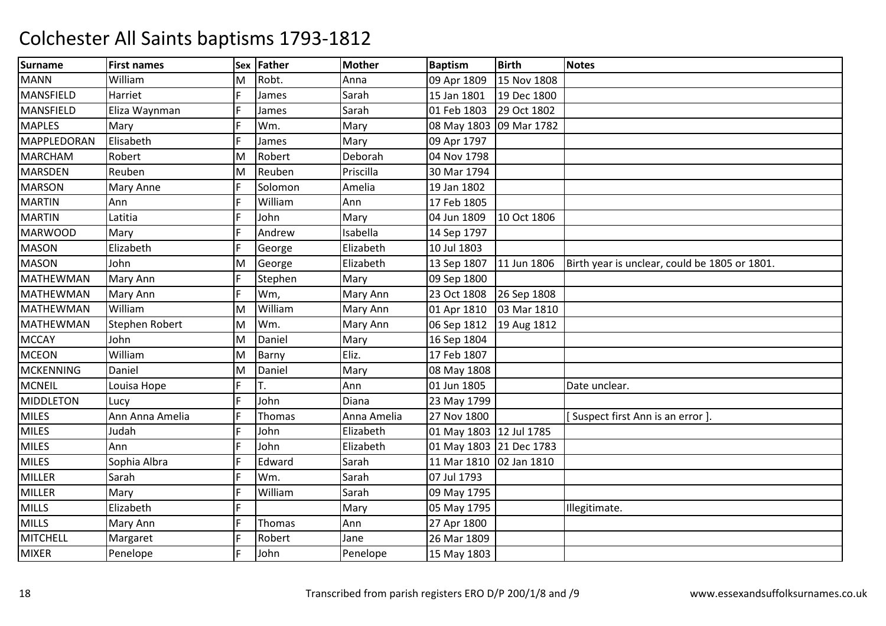| <b>Surname</b>   | <b>First names</b> | <b>Sex</b> | Father        | <b>Mother</b> | <b>Baptism</b>          | <b>Birth</b> | <b>Notes</b>                                  |
|------------------|--------------------|------------|---------------|---------------|-------------------------|--------------|-----------------------------------------------|
| <b>MANN</b>      | William            | M          | Robt.         | Anna          | 09 Apr 1809             | 15 Nov 1808  |                                               |
| <b>MANSFIELD</b> | Harriet            |            | James         | Sarah         | 15 Jan 1801             | 19 Dec 1800  |                                               |
| <b>MANSFIELD</b> | Eliza Waynman      |            | James         | Sarah         | 01 Feb 1803             | 29 Oct 1802  |                                               |
| <b>MAPLES</b>    | Mary               |            | Wm.           | Mary          | 08 May 1803 09 Mar 1782 |              |                                               |
| MAPPLEDORAN      | Elisabeth          |            | James         | Mary          | 09 Apr 1797             |              |                                               |
| <b>MARCHAM</b>   | Robert             | M          | Robert        | Deborah       | 04 Nov 1798             |              |                                               |
| <b>MARSDEN</b>   | Reuben             | M          | Reuben        | Priscilla     | 30 Mar 1794             |              |                                               |
| <b>MARSON</b>    | Mary Anne          |            | Solomon       | Amelia        | 19 Jan 1802             |              |                                               |
| <b>MARTIN</b>    | Ann                |            | William       | Ann           | 17 Feb 1805             |              |                                               |
| <b>MARTIN</b>    | Latitia            |            | John          | Mary          | 04 Jun 1809             | 10 Oct 1806  |                                               |
| <b>MARWOOD</b>   | Mary               |            | Andrew        | Isabella      | 14 Sep 1797             |              |                                               |
| <b>MASON</b>     | Elizabeth          |            | George        | Elizabeth     | 10 Jul 1803             |              |                                               |
| <b>MASON</b>     | John               | M          | George        | Elizabeth     | 13 Sep 1807             | 11 Jun 1806  | Birth year is unclear, could be 1805 or 1801. |
| MATHEWMAN        | Mary Ann           |            | Stephen       | Mary          | 09 Sep 1800             |              |                                               |
| <b>MATHEWMAN</b> | Mary Ann           |            | Wm,           | Mary Ann      | 23 Oct 1808             | 26 Sep 1808  |                                               |
| <b>MATHEWMAN</b> | William            | M          | William       | Mary Ann      | 01 Apr 1810             | 03 Mar 1810  |                                               |
| MATHEWMAN        | Stephen Robert     | M          | Wm.           | Mary Ann      | 06 Sep 1812             | 19 Aug 1812  |                                               |
| <b>MCCAY</b>     | John               | M          | Daniel        | Mary          | 16 Sep 1804             |              |                                               |
| <b>MCEON</b>     | William            | M          | Barny         | Eliz.         | 17 Feb 1807             |              |                                               |
| <b>MCKENNING</b> | Daniel             | M          | Daniel        | Mary          | 08 May 1808             |              |                                               |
| <b>MCNEIL</b>    | Louisa Hope        | E          | T.            | Ann           | 01 Jun 1805             |              | Date unclear.                                 |
| <b>MIDDLETON</b> | Lucy               |            | John          | Diana         | 23 May 1799             |              |                                               |
| <b>MILES</b>     | Ann Anna Amelia    |            | <b>Thomas</b> | Anna Amelia   | 27 Nov 1800             |              | [Suspect first Ann is an error]               |
| <b>MILES</b>     | Judah              |            | John          | Elizabeth     | 01 May 1803 12 Jul 1785 |              |                                               |
| <b>MILES</b>     | Ann                |            | John          | Elizabeth     | 01 May 1803 21 Dec 1783 |              |                                               |
| <b>MILES</b>     | Sophia Albra       |            | Edward        | Sarah         | 11 Mar 1810             | 02 Jan 1810  |                                               |
| <b>MILLER</b>    | Sarah              | F          | Wm.           | Sarah         | 07 Jul 1793             |              |                                               |
| MILLER           | Mary               |            | William       | Sarah         | 09 May 1795             |              |                                               |
| <b>MILLS</b>     | Elizabeth          | E.         |               | Mary          | 05 May 1795             |              | Illegitimate.                                 |
| <b>MILLS</b>     | Mary Ann           | F.         | Thomas        | Ann           | 27 Apr 1800             |              |                                               |
| <b>MITCHELL</b>  | Margaret           |            | Robert        | Jane          | 26 Mar 1809             |              |                                               |
| <b>MIXER</b>     | Penelope           |            | John          | Penelope      | 15 May 1803             |              |                                               |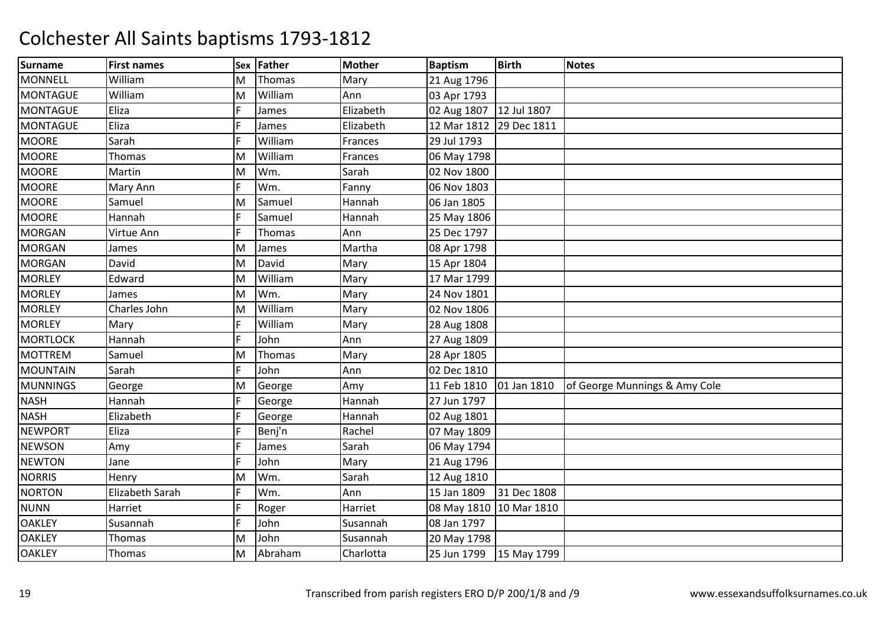| Surname         | <b>First names</b>     | <b>Sex</b> | Father        | <b>Mother</b> | <b>Baptism</b>          | <b>Birth</b> | <b>Notes</b>                  |
|-----------------|------------------------|------------|---------------|---------------|-------------------------|--------------|-------------------------------|
| <b>MONNELL</b>  | William                | M          | Thomas        | Mary          | 21 Aug 1796             |              |                               |
| <b>MONTAGUE</b> | William                | M          | William       | Ann           | 03 Apr 1793             |              |                               |
| <b>MONTAGUE</b> | Eliza                  |            | James         | Elizabeth     | 02 Aug 1807             | 12 Jul 1807  |                               |
| <b>MONTAGUE</b> | Eliza                  |            | James         | Elizabeth     | 12 Mar 1812             | 29 Dec 1811  |                               |
| <b>MOORE</b>    | Sarah                  |            | William       | Frances       | 29 Jul 1793             |              |                               |
| <b>MOORE</b>    | Thomas                 | M          | William       | Frances       | 06 May 1798             |              |                               |
| <b>MOORE</b>    | Martin                 | M          | Wm.           | Sarah         | 02 Nov 1800             |              |                               |
| <b>MOORE</b>    | Mary Ann               |            | Wm.           | Fanny         | 06 Nov 1803             |              |                               |
| <b>MOORE</b>    | Samuel                 | M          | Samuel        | Hannah        | 06 Jan 1805             |              |                               |
| <b>MOORE</b>    | Hannah                 |            | Samuel        | Hannah        | 25 May 1806             |              |                               |
| <b>MORGAN</b>   | Virtue Ann             |            | Thomas        | Ann           | 25 Dec 1797             |              |                               |
| <b>MORGAN</b>   | James                  | M          | James         | Martha        | 08 Apr 1798             |              |                               |
| <b>MORGAN</b>   | David                  | M          | David         | Mary          | 15 Apr 1804             |              |                               |
| <b>MORLEY</b>   | Edward                 | M          | William       | Mary          | 17 Mar 1799             |              |                               |
| <b>MORLEY</b>   | James                  | M          | Wm.           | Mary          | 24 Nov 1801             |              |                               |
| <b>MORLEY</b>   | Charles John           | M          | William       | Mary          | 02 Nov 1806             |              |                               |
| <b>MORLEY</b>   | Mary                   |            | William       | Mary          | 28 Aug 1808             |              |                               |
| <b>MORTLOCK</b> | Hannah                 |            | John          | Ann           | 27 Aug 1809             |              |                               |
| <b>MOTTREM</b>  | Samuel                 | M          | <b>Thomas</b> | Mary          | 28 Apr 1805             |              |                               |
| <b>MOUNTAIN</b> | Sarah                  |            | John          | Ann           | 02 Dec 1810             |              |                               |
| <b>MUNNINGS</b> | George                 | M          | George        | Amy           | 11 Feb 1810             | 01 Jan 1810  | of George Munnings & Amy Cole |
| <b>NASH</b>     | Hannah                 |            | George        | Hannah        | 27 Jun 1797             |              |                               |
| <b>NASH</b>     | Elizabeth              |            | George        | Hannah        | 02 Aug 1801             |              |                               |
| <b>NEWPORT</b>  | Eliza                  |            | Benj'n        | Rachel        | 07 May 1809             |              |                               |
| <b>NEWSON</b>   | Amy                    |            | James         | Sarah         | 06 May 1794             |              |                               |
| <b>NEWTON</b>   | Jane                   |            | John          | Mary          | 21 Aug 1796             |              |                               |
| <b>NORRIS</b>   | Henry                  | M          | Wm.           | Sarah         | 12 Aug 1810             |              |                               |
| <b>NORTON</b>   | <b>Elizabeth Sarah</b> |            | Wm.           | Ann           | 15 Jan 1809             | 31 Dec 1808  |                               |
| <b>NUNN</b>     | Harriet                |            | Roger         | Harriet       | 08 May 1810 10 Mar 1810 |              |                               |
| <b>OAKLEY</b>   | Susannah               | F.         | John          | Susannah      | 08 Jan 1797             |              |                               |
| <b>OAKLEY</b>   | Thomas                 | M          | John          | Susannah      | 20 May 1798             |              |                               |
| <b>OAKLEY</b>   | Thomas                 | M          | Abraham       | Charlotta     | 25 Jun 1799             | 15 May 1799  |                               |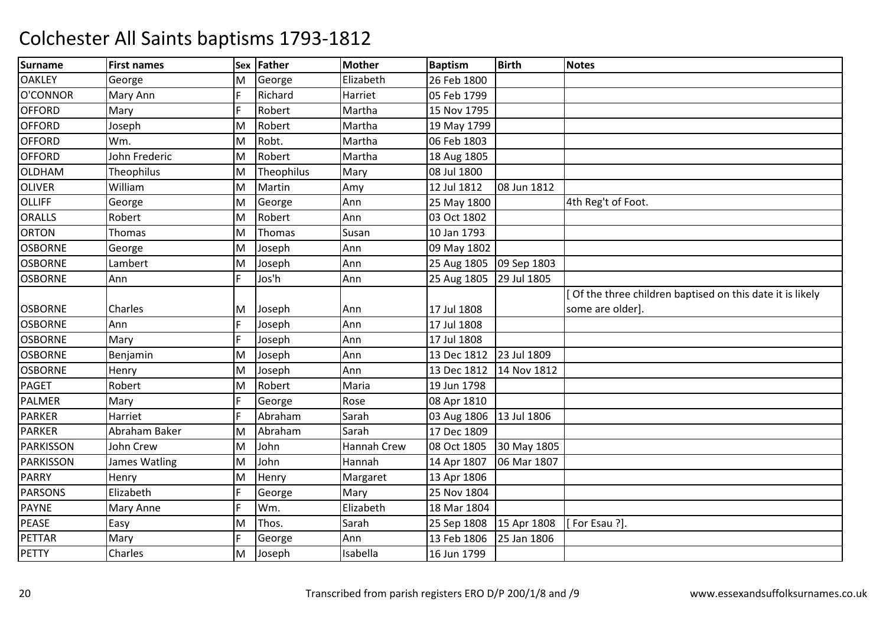| <b>Surname</b>   | <b>First names</b> | <b>Sex</b> | Father     | <b>Mother</b> | <b>Baptism</b> | <b>Birth</b> | <b>Notes</b>                                             |
|------------------|--------------------|------------|------------|---------------|----------------|--------------|----------------------------------------------------------|
| <b>OAKLEY</b>    | George             | M          | George     | Elizabeth     | 26 Feb 1800    |              |                                                          |
| O'CONNOR         | Mary Ann           |            | Richard    | Harriet       | 05 Feb 1799    |              |                                                          |
| <b>OFFORD</b>    | Mary               |            | Robert     | Martha        | 15 Nov 1795    |              |                                                          |
| <b>OFFORD</b>    | Joseph             | M          | Robert     | Martha        | 19 May 1799    |              |                                                          |
| <b>OFFORD</b>    | Wm.                | M          | Robt.      | Martha        | 06 Feb 1803    |              |                                                          |
| <b>OFFORD</b>    | John Frederic      | M          | Robert     | Martha        | 18 Aug 1805    |              |                                                          |
| <b>OLDHAM</b>    | Theophilus         | M          | Theophilus | Mary          | 08 Jul 1800    |              |                                                          |
| <b>OLIVER</b>    | William            | M          | Martin     | Amy           | 12 Jul 1812    | 08 Jun 1812  |                                                          |
| <b>OLLIFF</b>    | George             | M          | George     | Ann           | 25 May 1800    |              | 4th Reg't of Foot.                                       |
| <b>ORALLS</b>    | Robert             | M          | Robert     | Ann           | 03 Oct 1802    |              |                                                          |
| <b>ORTON</b>     | Thomas             | M          | Thomas     | Susan         | 10 Jan 1793    |              |                                                          |
| <b>OSBORNE</b>   | George             | M          | Joseph     | Ann           | 09 May 1802    |              |                                                          |
| <b>OSBORNE</b>   | Lambert            | M          | Joseph     | Ann           | 25 Aug 1805    | 09 Sep 1803  |                                                          |
| <b>OSBORNE</b>   | Ann                | F.         | Jos'h      | Ann           | 25 Aug 1805    | 29 Jul 1805  |                                                          |
|                  |                    |            |            |               |                |              | Of the three children baptised on this date it is likely |
| <b>OSBORNE</b>   | Charles            | M          | Joseph     | Ann           | 17 Jul 1808    |              | some are older].                                         |
| <b>OSBORNE</b>   | Ann                |            | Joseph     | Ann           | 17 Jul 1808    |              |                                                          |
| <b>OSBORNE</b>   | Mary               |            | Joseph     | Ann           | 17 Jul 1808    |              |                                                          |
| <b>OSBORNE</b>   | Benjamin           | M          | Joseph     | Ann           | 13 Dec 1812    | 23 Jul 1809  |                                                          |
| <b>OSBORNE</b>   | Henry              | M          | Joseph     | Ann           | 13 Dec 1812    | 14 Nov 1812  |                                                          |
| <b>PAGET</b>     | Robert             | M          | Robert     | Maria         | 19 Jun 1798    |              |                                                          |
| <b>PALMER</b>    | Mary               |            | George     | Rose          | 08 Apr 1810    |              |                                                          |
| <b>PARKER</b>    | Harriet            |            | Abraham    | Sarah         | 03 Aug 1806    | 13 Jul 1806  |                                                          |
| <b>PARKER</b>    | Abraham Baker      | M          | Abraham    | Sarah         | 17 Dec 1809    |              |                                                          |
| <b>PARKISSON</b> | John Crew          | M          | John       | Hannah Crew   | 08 Oct 1805    | 30 May 1805  |                                                          |
| <b>PARKISSON</b> | James Watling      | M          | John       | Hannah        | 14 Apr 1807    | 06 Mar 1807  |                                                          |
| <b>PARRY</b>     | Henry              | M          | Henry      | Margaret      | 13 Apr 1806    |              |                                                          |
| <b>PARSONS</b>   | Elizabeth          |            | George     | Mary          | 25 Nov 1804    |              |                                                          |
| <b>PAYNE</b>     | Mary Anne          |            | Wm.        | Elizabeth     | 18 Mar 1804    |              |                                                          |
| <b>PEASE</b>     | Easy               | M          | Thos.      | Sarah         | 25 Sep 1808    | 15 Apr 1808  | [For Esau ?].                                            |
| <b>PETTAR</b>    | Mary               |            | George     | Ann           | 13 Feb 1806    | 25 Jan 1806  |                                                          |
| PETTY            | Charles            | M          | Joseph     | Isabella      | 16 Jun 1799    |              |                                                          |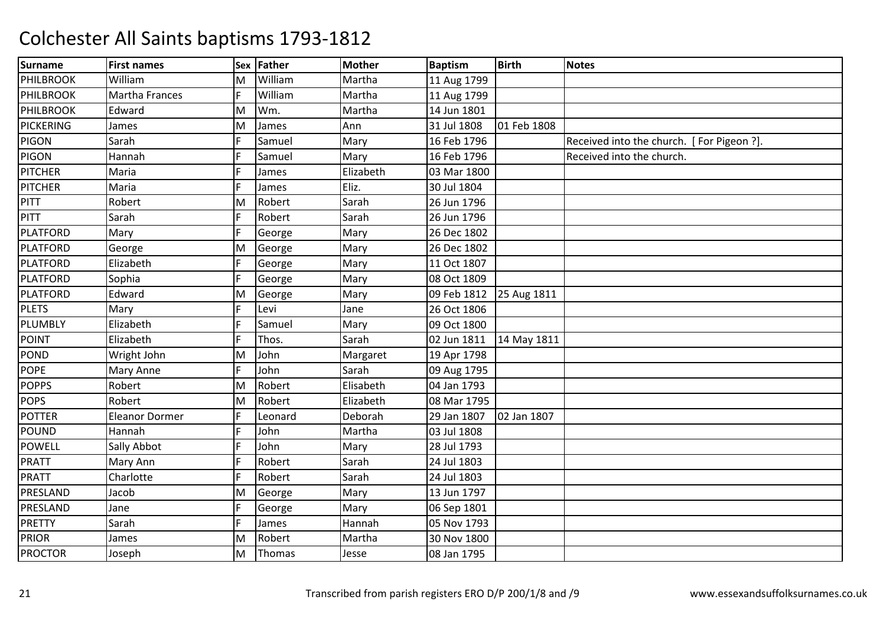| Surname          | <b>First names</b>    | <b>Sex</b> | Father  | <b>Mother</b> | <b>Baptism</b> | <b>Birth</b> | <b>Notes</b>                              |
|------------------|-----------------------|------------|---------|---------------|----------------|--------------|-------------------------------------------|
| PHILBROOK        | William               | M          | William | Martha        | 11 Aug 1799    |              |                                           |
| PHILBROOK        | <b>Martha Frances</b> |            | William | Martha        | 11 Aug 1799    |              |                                           |
| <b>PHILBROOK</b> | Edward                | M          | Wm.     | Martha        | 14 Jun 1801    |              |                                           |
| <b>PICKERING</b> | James                 | M          | James   | Ann           | 31 Jul 1808    | 01 Feb 1808  |                                           |
| <b>PIGON</b>     | Sarah                 |            | Samuel  | Mary          | 16 Feb 1796    |              | Received into the church. [For Pigeon ?]. |
| PIGON            | Hannah                |            | Samuel  | Mary          | 16 Feb 1796    |              | Received into the church.                 |
| <b>PITCHER</b>   | Maria                 |            | James   | Elizabeth     | 03 Mar 1800    |              |                                           |
| <b>PITCHER</b>   | Maria                 |            | James   | Eliz.         | 30 Jul 1804    |              |                                           |
| PITT             | Robert                | M          | Robert  | Sarah         | 26 Jun 1796    |              |                                           |
| PITT             | Sarah                 |            | Robert  | Sarah         | 26 Jun 1796    |              |                                           |
| <b>PLATFORD</b>  | Mary                  |            | George  | Mary          | 26 Dec 1802    |              |                                           |
| <b>PLATFORD</b>  | George                | M          | George  | Mary          | 26 Dec 1802    |              |                                           |
| <b>PLATFORD</b>  | Elizabeth             | F.         | George  | Mary          | 11 Oct 1807    |              |                                           |
| <b>PLATFORD</b>  | Sophia                |            | George  | Mary          | 08 Oct 1809    |              |                                           |
| <b>PLATFORD</b>  | Edward                | M          | George  | Mary          | 09 Feb 1812    | 25 Aug 1811  |                                           |
| <b>PLETS</b>     | Mary                  |            | Levi    | Jane          | 26 Oct 1806    |              |                                           |
| PLUMBLY          | Elizabeth             |            | Samuel  | Mary          | 09 Oct 1800    |              |                                           |
| POINT            | Elizabeth             |            | Thos.   | Sarah         | 02 Jun 1811    | 14 May 1811  |                                           |
| <b>POND</b>      | Wright John           | M          | John    | Margaret      | 19 Apr 1798    |              |                                           |
| <b>POPE</b>      | Mary Anne             |            | John    | Sarah         | 09 Aug 1795    |              |                                           |
| <b>POPPS</b>     | Robert                | M          | Robert  | Elisabeth     | 04 Jan 1793    |              |                                           |
| <b>POPS</b>      | Robert                | M          | Robert  | Elizabeth     | 08 Mar 1795    |              |                                           |
| <b>POTTER</b>    | <b>Eleanor Dormer</b> |            | Leonard | Deborah       | 29 Jan 1807    | 02 Jan 1807  |                                           |
| <b>POUND</b>     | Hannah                |            | John    | Martha        | 03 Jul 1808    |              |                                           |
| <b>POWELL</b>    | Sally Abbot           |            | John    | Mary          | 28 Jul 1793    |              |                                           |
| <b>PRATT</b>     | Mary Ann              |            | Robert  | Sarah         | 24 Jul 1803    |              |                                           |
| <b>PRATT</b>     | Charlotte             |            | Robert  | Sarah         | 24 Jul 1803    |              |                                           |
| PRESLAND         | Jacob                 | M          | George  | Mary          | 13 Jun 1797    |              |                                           |
| PRESLAND         | Jane                  |            | George  | Mary          | 06 Sep 1801    |              |                                           |
| <b>PRETTY</b>    | Sarah                 | F.         | James   | Hannah        | 05 Nov 1793    |              |                                           |
| <b>PRIOR</b>     | James                 | M          | Robert  | Martha        | 30 Nov 1800    |              |                                           |
| <b>PROCTOR</b>   | Joseph                | M          | Thomas  | Jesse         | 08 Jan 1795    |              |                                           |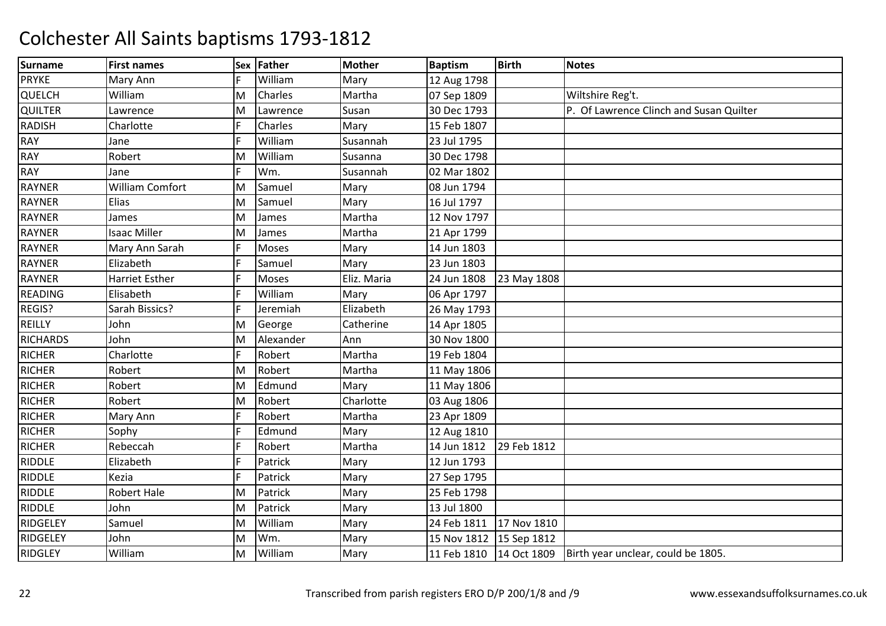| <b>Surname</b>  | <b>First names</b>     |   | Sex Father | <b>Mother</b> | <b>Baptism</b>          | <b>Birth</b> | <b>Notes</b>                            |
|-----------------|------------------------|---|------------|---------------|-------------------------|--------------|-----------------------------------------|
| <b>PRYKE</b>    | Mary Ann               |   | William    | Mary          | 12 Aug 1798             |              |                                         |
| QUELCH          | William                | M | Charles    | Martha        | 07 Sep 1809             |              | Wiltshire Reg't.                        |
| <b>QUILTER</b>  | Lawrence               | M | Lawrence   | Susan         | 30 Dec 1793             |              | P. Of Lawrence Clinch and Susan Quilter |
| <b>RADISH</b>   | Charlotte              |   | Charles    | Mary          | 15 Feb 1807             |              |                                         |
| <b>RAY</b>      | Jane                   |   | William    | Susannah      | 23 Jul 1795             |              |                                         |
| <b>RAY</b>      | Robert                 | M | William    | Susanna       | 30 Dec 1798             |              |                                         |
| <b>RAY</b>      | Jane                   |   | Wm.        | Susannah      | 02 Mar 1802             |              |                                         |
| <b>RAYNER</b>   | <b>William Comfort</b> | M | Samuel     | Mary          | 08 Jun 1794             |              |                                         |
| <b>RAYNER</b>   | Elias                  | M | Samuel     | Mary          | 16 Jul 1797             |              |                                         |
| <b>RAYNER</b>   | James                  | M | James      | Martha        | 12 Nov 1797             |              |                                         |
| <b>RAYNER</b>   | <b>Isaac Miller</b>    | м | James      | Martha        | 21 Apr 1799             |              |                                         |
| <b>RAYNER</b>   | Mary Ann Sarah         |   | Moses      | Mary          | 14 Jun 1803             |              |                                         |
| <b>RAYNER</b>   | Elizabeth              |   | Samuel     | Mary          | 23 Jun 1803             |              |                                         |
| <b>RAYNER</b>   | <b>Harriet Esther</b>  |   | Moses      | Eliz. Maria   | 24 Jun 1808             | 23 May 1808  |                                         |
| <b>READING</b>  | Elisabeth              |   | William    | Mary          | 06 Apr 1797             |              |                                         |
| REGIS?          | Sarah Bissics?         |   | Jeremiah   | Elizabeth     | 26 May 1793             |              |                                         |
| REILLY          | John                   | M | George     | Catherine     | 14 Apr 1805             |              |                                         |
| <b>RICHARDS</b> | John                   | M | Alexander  | Ann           | 30 Nov 1800             |              |                                         |
| <b>RICHER</b>   | Charlotte              |   | Robert     | Martha        | 19 Feb 1804             |              |                                         |
| <b>RICHER</b>   | Robert                 | M | Robert     | Martha        | 11 May 1806             |              |                                         |
| <b>RICHER</b>   | Robert                 | M | Edmund     | Mary          | 11 May 1806             |              |                                         |
| <b>RICHER</b>   | Robert                 | M | Robert     | Charlotte     | 03 Aug 1806             |              |                                         |
| <b>RICHER</b>   | Mary Ann               |   | Robert     | Martha        | 23 Apr 1809             |              |                                         |
| <b>RICHER</b>   | Sophy                  |   | Edmund     | Mary          | 12 Aug 1810             |              |                                         |
| <b>RICHER</b>   | Rebeccah               |   | Robert     | Martha        | 14 Jun 1812             | 29 Feb 1812  |                                         |
| <b>RIDDLE</b>   | Elizabeth              |   | Patrick    | Mary          | 12 Jun 1793             |              |                                         |
| <b>RIDDLE</b>   | Kezia                  |   | Patrick    | Mary          | 27 Sep 1795             |              |                                         |
| <b>RIDDLE</b>   | <b>Robert Hale</b>     | M | Patrick    | Mary          | 25 Feb 1798             |              |                                         |
| <b>RIDDLE</b>   | John                   | M | Patrick    | Mary          | 13 Jul 1800             |              |                                         |
| RIDGELEY        | Samuel                 | M | William    | Mary          | 24 Feb 1811             | 17 Nov 1810  |                                         |
| RIDGELEY        | John                   | M | Wm.        | Mary          | 15 Nov 1812 15 Sep 1812 |              |                                         |
| <b>RIDGLEY</b>  | William                | M | William    | Mary          | 11 Feb 1810             | 14 Oct 1809  | Birth year unclear, could be 1805.      |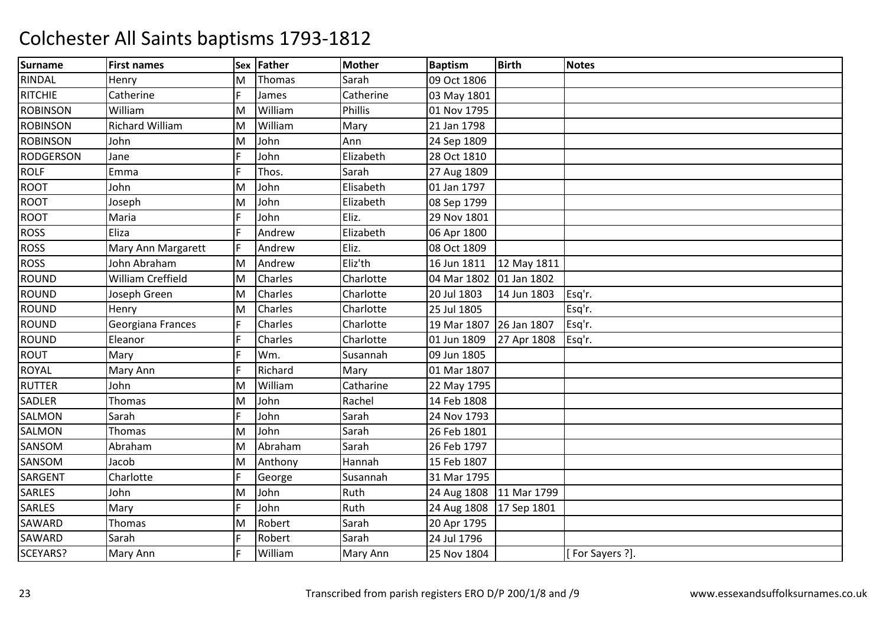| <b>Surname</b>   | <b>First names</b>     | Sex | <b>Father</b> | <b>Mother</b>  | <b>Baptism</b>          | <b>Birth</b> | <b>Notes</b>   |
|------------------|------------------------|-----|---------------|----------------|-------------------------|--------------|----------------|
| RINDAL           | Henry                  | M   | Thomas        | Sarah          | 09 Oct 1806             |              |                |
| <b>RITCHIE</b>   | Catherine              |     | James         | Catherine      | 03 May 1801             |              |                |
| <b>ROBINSON</b>  | William                | Μ   | William       | <b>Phillis</b> | 01 Nov 1795             |              |                |
| <b>ROBINSON</b>  | <b>Richard William</b> | M   | William       | Mary           | 21 Jan 1798             |              |                |
| <b>ROBINSON</b>  | John                   | M   | John          | Ann            | 24 Sep 1809             |              |                |
| <b>RODGERSON</b> | Jane                   |     | John          | Elizabeth      | 28 Oct 1810             |              |                |
| <b>ROLF</b>      | Emma                   |     | Thos.         | Sarah          | 27 Aug 1809             |              |                |
| <b>ROOT</b>      | John                   | M   | John          | Elisabeth      | 01 Jan 1797             |              |                |
| <b>ROOT</b>      | Joseph                 | M   | John          | Elizabeth      | 08 Sep 1799             |              |                |
| <b>ROOT</b>      | Maria                  |     | John          | Eliz.          | 29 Nov 1801             |              |                |
| <b>ROSS</b>      | Eliza                  |     | Andrew        | Elizabeth      | 06 Apr 1800             |              |                |
| <b>ROSS</b>      | Mary Ann Margarett     |     | Andrew        | Eliz.          | 08 Oct 1809             |              |                |
| <b>ROSS</b>      | John Abraham           | M   | Andrew        | Eliz'th        | 16 Jun 1811             | 12 May 1811  |                |
| <b>ROUND</b>     | William Creffield      | M   | Charles       | Charlotte      | 04 Mar 1802             | 01 Jan 1802  |                |
| <b>ROUND</b>     | Joseph Green           | М   | Charles       | Charlotte      | 20 Jul 1803             | 14 Jun 1803  | Esq'r.         |
| <b>ROUND</b>     | Henry                  | Μ   | Charles       | Charlotte      | 25 Jul 1805             |              | Esq'r.         |
| <b>ROUND</b>     | Georgiana Frances      |     | Charles       | Charlotte      | 19 Mar 1807             | 26 Jan 1807  | Esq'r.         |
| <b>ROUND</b>     | Eleanor                |     | Charles       | Charlotte      | 01 Jun 1809             | 27 Apr 1808  | Esq'r.         |
| <b>ROUT</b>      | Mary                   |     | Wm.           | Susannah       | 09 Jun 1805             |              |                |
| <b>ROYAL</b>     | Mary Ann               |     | Richard       | Mary           | 01 Mar 1807             |              |                |
| <b>RUTTER</b>    | John                   | м   | William       | Catharine      | 22 May 1795             |              |                |
| <b>SADLER</b>    | Thomas                 | Μ   | John          | Rachel         | 14 Feb 1808             |              |                |
| <b>SALMON</b>    | Sarah                  |     | John          | Sarah          | 24 Nov 1793             |              |                |
| SALMON           | Thomas                 | Μ   | John          | Sarah          | 26 Feb 1801             |              |                |
| SANSOM           | Abraham                | Μ   | Abraham       | Sarah          | 26 Feb 1797             |              |                |
| SANSOM           | Jacob                  | M   | Anthony       | Hannah         | 15 Feb 1807             |              |                |
| SARGENT          | Charlotte              |     | George        | Susannah       | 31 Mar 1795             |              |                |
| <b>SARLES</b>    | John                   | Μ   | John          | Ruth           | 24 Aug 1808 11 Mar 1799 |              |                |
| <b>SARLES</b>    | Mary                   |     | John          | Ruth           | 24 Aug 1808             | 17 Sep 1801  |                |
| <b>SAWARD</b>    | Thomas                 | M   | Robert        | Sarah          | 20 Apr 1795             |              |                |
| SAWARD           | Sarah                  |     | Robert        | Sarah          | 24 Jul 1796             |              |                |
| SCEYARS?         | Mary Ann               |     | William       | Mary Ann       | 25 Nov 1804             |              | For Sayers ?]. |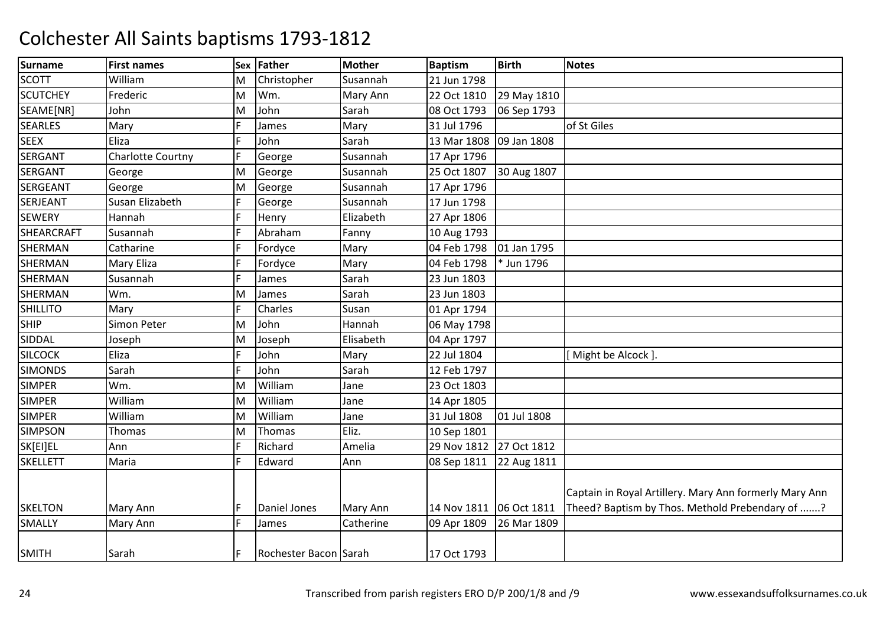| Surname           | <b>First names</b>       | <b>Sex</b> | Father                | <b>Mother</b> | <b>Baptism</b> | <b>Birth</b> | <b>Notes</b>                                                                                              |
|-------------------|--------------------------|------------|-----------------------|---------------|----------------|--------------|-----------------------------------------------------------------------------------------------------------|
| <b>SCOTT</b>      | William                  | M          | Christopher           | Susannah      | 21 Jun 1798    |              |                                                                                                           |
| <b>SCUTCHEY</b>   | Frederic                 | M          | Wm.                   | Mary Ann      | 22 Oct 1810    | 29 May 1810  |                                                                                                           |
| SEAME[NR]         | John                     | M          | John                  | Sarah         | 08 Oct 1793    | 06 Sep 1793  |                                                                                                           |
| <b>SEARLES</b>    | Mary                     |            | James                 | Mary          | 31 Jul 1796    |              | of St Giles                                                                                               |
| <b>SEEX</b>       | Eliza                    |            | John                  | Sarah         | 13 Mar 1808    | 09 Jan 1808  |                                                                                                           |
| <b>SERGANT</b>    | <b>Charlotte Courtny</b> |            | George                | Susannah      | 17 Apr 1796    |              |                                                                                                           |
| <b>SERGANT</b>    | George                   | M          | George                | Susannah      | 25 Oct 1807    | 30 Aug 1807  |                                                                                                           |
| <b>SERGEANT</b>   | George                   | M          | George                | Susannah      | 17 Apr 1796    |              |                                                                                                           |
| <b>SERJEANT</b>   | Susan Elizabeth          |            | George                | Susannah      | 17 Jun 1798    |              |                                                                                                           |
| <b>SEWERY</b>     | Hannah                   |            | Henry                 | Elizabeth     | 27 Apr 1806    |              |                                                                                                           |
| <b>SHEARCRAFT</b> | Susannah                 |            | Abraham               | Fanny         | 10 Aug 1793    |              |                                                                                                           |
| SHERMAN           | Catharine                |            | Fordyce               | Mary          | 04 Feb 1798    | 01 Jan 1795  |                                                                                                           |
| <b>SHERMAN</b>    | <b>Mary Eliza</b>        |            | Fordyce               | Mary          | 04 Feb 1798    | * Jun 1796   |                                                                                                           |
| <b>SHERMAN</b>    | Susannah                 | F          | James                 | Sarah         | 23 Jun 1803    |              |                                                                                                           |
| <b>SHERMAN</b>    | Wm.                      | M          | James                 | Sarah         | 23 Jun 1803    |              |                                                                                                           |
| <b>SHILLITO</b>   | Mary                     | F.         | Charles               | Susan         | 01 Apr 1794    |              |                                                                                                           |
| <b>SHIP</b>       | Simon Peter              | M          | John                  | Hannah        | 06 May 1798    |              |                                                                                                           |
| SIDDAL            | Joseph                   | M          | Joseph                | Elisabeth     | 04 Apr 1797    |              |                                                                                                           |
| <b>SILCOCK</b>    | Eliza                    |            | John                  | Mary          | 22 Jul 1804    |              | Might be Alcock ]                                                                                         |
| <b>SIMONDS</b>    | Sarah                    | F          | John                  | Sarah         | 12 Feb 1797    |              |                                                                                                           |
| <b>SIMPER</b>     | Wm.                      | M          | William               | Jane          | 23 Oct 1803    |              |                                                                                                           |
| <b>SIMPER</b>     | William                  | M          | William               | Jane          | 14 Apr 1805    |              |                                                                                                           |
| <b>SIMPER</b>     | William                  | M          | William               | Jane          | 31 Jul 1808    | 01 Jul 1808  |                                                                                                           |
| <b>SIMPSON</b>    | Thomas                   | M          | Thomas                | Eliz.         | 10 Sep 1801    |              |                                                                                                           |
| SK[EI]EL          | Ann                      |            | Richard               | Amelia        | 29 Nov 1812    | 27 Oct 1812  |                                                                                                           |
| <b>SKELLETT</b>   | Maria                    | F.         | Edward                | Ann           | 08 Sep 1811    | 22 Aug 1811  |                                                                                                           |
| <b>SKELTON</b>    | Mary Ann                 | F          | Daniel Jones          | Mary Ann      | 14 Nov 1811    | 06 Oct 1811  | Captain in Royal Artillery. Mary Ann formerly Mary Ann<br>Theed? Baptism by Thos. Methold Prebendary of ? |
| <b>SMALLY</b>     | Mary Ann                 | F          | James                 | Catherine     | 09 Apr 1809    | 26 Mar 1809  |                                                                                                           |
| <b>SMITH</b>      | Sarah                    |            | Rochester Bacon Sarah |               | 17 Oct 1793    |              |                                                                                                           |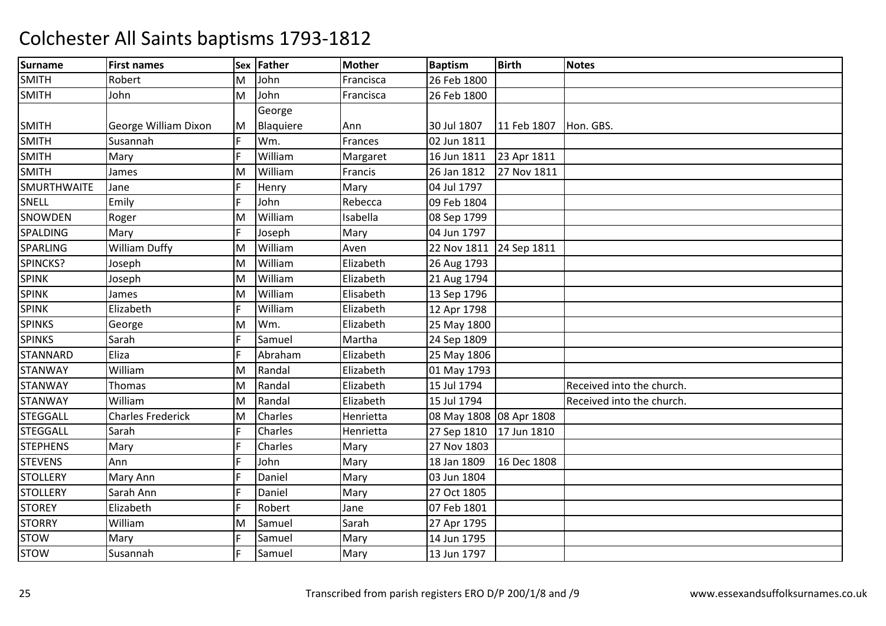| <b>Surname</b>     | <b>First names</b>       | Sex | Father    | <b>Mother</b> | <b>Baptism</b>          | <b>Birth</b> | <b>Notes</b>              |
|--------------------|--------------------------|-----|-----------|---------------|-------------------------|--------------|---------------------------|
| <b>SMITH</b>       | Robert                   | M   | John      | Francisca     | 26 Feb 1800             |              |                           |
| <b>SMITH</b>       | John                     | M   | John      | Francisca     | 26 Feb 1800             |              |                           |
|                    |                          |     | George    |               |                         |              |                           |
| <b>SMITH</b>       | George William Dixon     | M   | Blaquiere | Ann           | 30 Jul 1807             | 11 Feb 1807  | Hon. GBS.                 |
| <b>SMITH</b>       | Susannah                 | F.  | Wm.       | Frances       | 02 Jun 1811             |              |                           |
| <b>SMITH</b>       | Mary                     |     | William   | Margaret      | 16 Jun 1811             | 23 Apr 1811  |                           |
| <b>SMITH</b>       | James                    | M   | William   | Francis       | 26 Jan 1812             | 27 Nov 1811  |                           |
| <b>SMURTHWAITE</b> | Jane                     |     | Henry     | Mary          | 04 Jul 1797             |              |                           |
| <b>SNELL</b>       | Emily                    | F.  | John      | Rebecca       | 09 Feb 1804             |              |                           |
| <b>SNOWDEN</b>     | Roger                    | M   | William   | Isabella      | 08 Sep 1799             |              |                           |
| SPALDING           | Mary                     |     | Joseph    | Mary          | 04 Jun 1797             |              |                           |
| SPARLING           | <b>William Duffy</b>     | M   | William   | Aven          | 22 Nov 1811 24 Sep 1811 |              |                           |
| SPINCKS?           | Joseph                   | M   | William   | Elizabeth     | 26 Aug 1793             |              |                           |
| <b>SPINK</b>       | Joseph                   | M   | William   | Elizabeth     | 21 Aug 1794             |              |                           |
| <b>SPINK</b>       | James                    | M   | William   | Elisabeth     | 13 Sep 1796             |              |                           |
| <b>SPINK</b>       | Elizabeth                |     | William   | Elizabeth     | 12 Apr 1798             |              |                           |
| <b>SPINKS</b>      | George                   | M   | Wm.       | Elizabeth     | 25 May 1800             |              |                           |
| <b>SPINKS</b>      | Sarah                    |     | Samuel    | Martha        | 24 Sep 1809             |              |                           |
| <b>STANNARD</b>    | Eliza                    |     | Abraham   | Elizabeth     | 25 May 1806             |              |                           |
| <b>STANWAY</b>     | William                  | M   | Randal    | Elizabeth     | 01 May 1793             |              |                           |
| <b>STANWAY</b>     | Thomas                   | м   | Randal    | Elizabeth     | 15 Jul 1794             |              | Received into the church. |
| <b>STANWAY</b>     | William                  | М   | Randal    | Elizabeth     | 15 Jul 1794             |              | Received into the church. |
| <b>STEGGALL</b>    | <b>Charles Frederick</b> | M   | Charles   | Henrietta     | 08 May 1808 08 Apr 1808 |              |                           |
| <b>STEGGALL</b>    | Sarah                    |     | Charles   | Henrietta     | 27 Sep 1810 17 Jun 1810 |              |                           |
| <b>STEPHENS</b>    | Mary                     |     | Charles   | Mary          | 27 Nov 1803             |              |                           |
| <b>STEVENS</b>     | Ann                      |     | John      | Mary          | 18 Jan 1809             | 16 Dec 1808  |                           |
| <b>STOLLERY</b>    | Mary Ann                 |     | Daniel    | Mary          | 03 Jun 1804             |              |                           |
| <b>STOLLERY</b>    | Sarah Ann                |     | Daniel    | Mary          | 27 Oct 1805             |              |                           |
| <b>STOREY</b>      | Elizabeth                |     | Robert    | Jane          | 07 Feb 1801             |              |                           |
| <b>STORRY</b>      | William                  | M   | Samuel    | Sarah         | 27 Apr 1795             |              |                           |
| <b>STOW</b>        | Mary                     |     | Samuel    | Mary          | 14 Jun 1795             |              |                           |
| <b>STOW</b>        | Susannah                 |     | Samuel    | Mary          | 13 Jun 1797             |              |                           |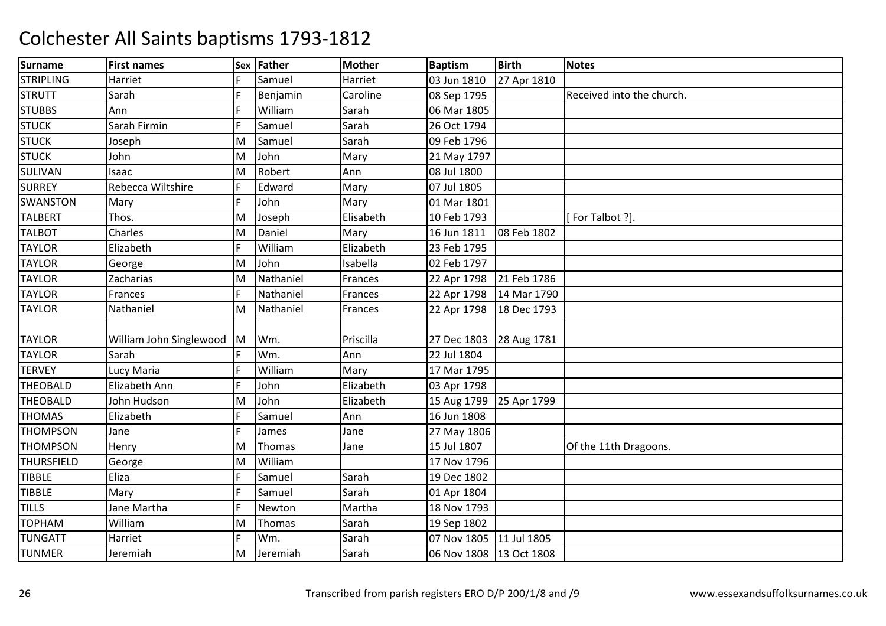| <b>Surname</b>    | <b>First names</b>      | Sex l | Father    | <b>Mother</b> | <b>Baptism</b>          | <b>Birth</b> | <b>Notes</b>              |
|-------------------|-------------------------|-------|-----------|---------------|-------------------------|--------------|---------------------------|
| <b>STRIPLING</b>  | Harriet                 |       | Samuel    | Harriet       | 03 Jun 1810             | 27 Apr 1810  |                           |
| <b>STRUTT</b>     | Sarah                   |       | Benjamin  | Caroline      | 08 Sep 1795             |              | Received into the church. |
| <b>STUBBS</b>     | Ann                     |       | William   | Sarah         | 06 Mar 1805             |              |                           |
| <b>STUCK</b>      | Sarah Firmin            |       | Samuel    | Sarah         | 26 Oct 1794             |              |                           |
| <b>STUCK</b>      | Joseph                  | Μ     | Samuel    | Sarah         | 09 Feb 1796             |              |                           |
| <b>STUCK</b>      | John                    | Μ     | John      | Mary          | 21 May 1797             |              |                           |
| SULIVAN           | Isaac                   | M     | Robert    | Ann           | 08 Jul 1800             |              |                           |
| <b>SURREY</b>     | Rebecca Wiltshire       |       | Edward    | Mary          | 07 Jul 1805             |              |                           |
| <b>SWANSTON</b>   | Mary                    |       | John      | Mary          | 01 Mar 1801             |              |                           |
| <b>TALBERT</b>    | Thos.                   | M     | Joseph    | Elisabeth     | 10 Feb 1793             |              | [For Talbot ?].           |
| <b>TALBOT</b>     | Charles                 | М     | Daniel    | Mary          | 16 Jun 1811             | 08 Feb 1802  |                           |
| <b>TAYLOR</b>     | Elizabeth               |       | William   | Elizabeth     | 23 Feb 1795             |              |                           |
| <b>TAYLOR</b>     | George                  | M     | John      | Isabella      | 02 Feb 1797             |              |                           |
| <b>TAYLOR</b>     | Zacharias               | M     | Nathaniel | Frances       | 22 Apr 1798             | 21 Feb 1786  |                           |
| <b>TAYLOR</b>     | Frances                 |       | Nathaniel | Frances       | 22 Apr 1798             | 14 Mar 1790  |                           |
| <b>TAYLOR</b>     | Nathaniel               | Μ     | Nathaniel | Frances       | 22 Apr 1798             | 18 Dec 1793  |                           |
|                   |                         |       |           |               |                         |              |                           |
| <b>TAYLOR</b>     | William John Singlewood | M     | Wm.       | Priscilla     | 27 Dec 1803 28 Aug 1781 |              |                           |
| <b>TAYLOR</b>     | Sarah                   |       | Wm.       | Ann           | 22 Jul 1804             |              |                           |
| <b>TERVEY</b>     | Lucy Maria              |       | William   | Mary          | 17 Mar 1795             |              |                           |
| <b>THEOBALD</b>   | Elizabeth Ann           |       | John      | Elizabeth     | 03 Apr 1798             |              |                           |
| <b>THEOBALD</b>   | John Hudson             | M     | John      | Elizabeth     | 15 Aug 1799             | 25 Apr 1799  |                           |
| <b>THOMAS</b>     | Elizabeth               |       | Samuel    | Ann           | 16 Jun 1808             |              |                           |
| <b>THOMPSON</b>   | Jane                    |       | James     | Jane          | 27 May 1806             |              |                           |
| <b>THOMPSON</b>   | Henry                   | M     | Thomas    | Jane          | 15 Jul 1807             |              | Of the 11th Dragoons.     |
| <b>THURSFIELD</b> | George                  | M     | William   |               | 17 Nov 1796             |              |                           |
| <b>TIBBLE</b>     | Eliza                   |       | Samuel    | Sarah         | 19 Dec 1802             |              |                           |
| <b>TIBBLE</b>     | Mary                    |       | Samuel    | Sarah         | 01 Apr 1804             |              |                           |
| <b>TILLS</b>      | Jane Martha             |       | Newton    | Martha        | 18 Nov 1793             |              |                           |
| <b>TOPHAM</b>     | William                 | M     | Thomas    | Sarah         | 19 Sep 1802             |              |                           |
| <b>TUNGATT</b>    | Harriet                 |       | Wm.       | Sarah         | 07 Nov 1805             | 11 Jul 1805  |                           |
| <b>TUNMER</b>     | Jeremiah                | Μ     | Jeremiah  | Sarah         | 06 Nov 1808 13 Oct 1808 |              |                           |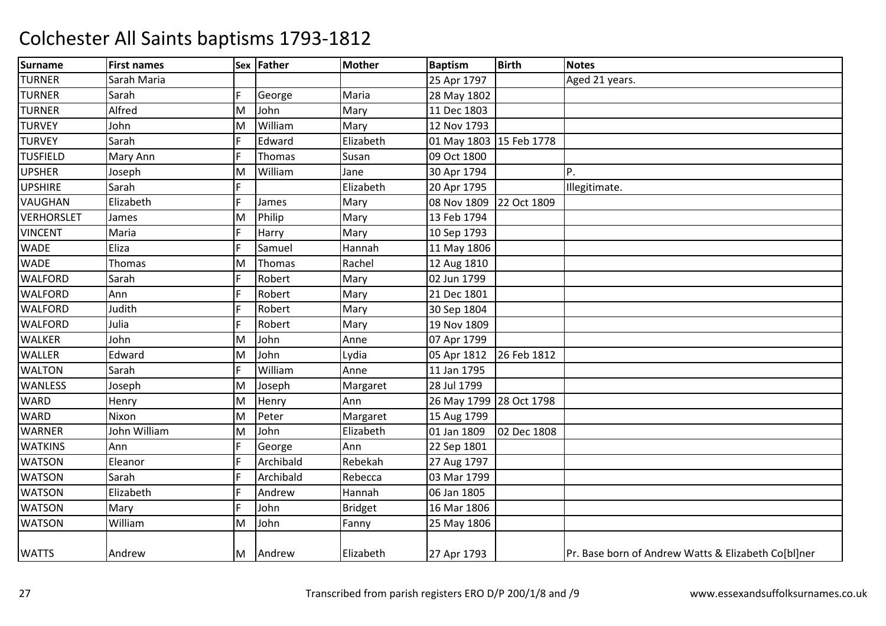| <b>Surname</b>    | <b>First names</b> |   | Sex Father | <b>Mother</b>  | <b>Baptism</b>          | <b>Birth</b> | <b>Notes</b>                                        |
|-------------------|--------------------|---|------------|----------------|-------------------------|--------------|-----------------------------------------------------|
| <b>TURNER</b>     | Sarah Maria        |   |            |                | 25 Apr 1797             |              | Aged 21 years.                                      |
| <b>TURNER</b>     | Sarah              |   | George     | Maria          | 28 May 1802             |              |                                                     |
| <b>TURNER</b>     | Alfred             | M | John       | Mary           | 11 Dec 1803             |              |                                                     |
| <b>TURVEY</b>     | John               | M | William    | Mary           | 12 Nov 1793             |              |                                                     |
| <b>TURVEY</b>     | Sarah              |   | Edward     | Elizabeth      | 01 May 1803 15 Feb 1778 |              |                                                     |
| <b>TUSFIELD</b>   | Mary Ann           | F | Thomas     | Susan          | 09 Oct 1800             |              |                                                     |
| <b>UPSHER</b>     | Joseph             | M | William    | Jane           | 30 Apr 1794             |              | Ρ.                                                  |
| <b>UPSHIRE</b>    | Sarah              |   |            | Elizabeth      | 20 Apr 1795             |              | Illegitimate.                                       |
| <b>VAUGHAN</b>    | Elizabeth          | E | James      | Mary           | 08 Nov 1809             | 22 Oct 1809  |                                                     |
| <b>VERHORSLET</b> | James              | M | Philip     | Mary           | 13 Feb 1794             |              |                                                     |
| <b>VINCENT</b>    | Maria              |   | Harry      | Mary           | 10 Sep 1793             |              |                                                     |
| <b>WADE</b>       | Eliza              |   | Samuel     | Hannah         | 11 May 1806             |              |                                                     |
| <b>WADE</b>       | Thomas             | м | Thomas     | Rachel         | 12 Aug 1810             |              |                                                     |
| <b>WALFORD</b>    | Sarah              |   | Robert     | Mary           | 02 Jun 1799             |              |                                                     |
| <b>WALFORD</b>    | Ann                |   | Robert     | Mary           | 21 Dec 1801             |              |                                                     |
| <b>WALFORD</b>    | Judith             |   | Robert     | Mary           | 30 Sep 1804             |              |                                                     |
| <b>WALFORD</b>    | Julia              |   | Robert     | Mary           | 19 Nov 1809             |              |                                                     |
| <b>WALKER</b>     | John               | M | John       | Anne           | 07 Apr 1799             |              |                                                     |
| <b>WALLER</b>     | Edward             | M | John       | Lydia          | 05 Apr 1812             | 26 Feb 1812  |                                                     |
| <b>WALTON</b>     | Sarah              |   | William    | Anne           | 11 Jan 1795             |              |                                                     |
| <b>WANLESS</b>    | Joseph             | M | Joseph     | Margaret       | 28 Jul 1799             |              |                                                     |
| <b>WARD</b>       | Henry              | M | Henry      | Ann            | 26 May 1799 28 Oct 1798 |              |                                                     |
| <b>WARD</b>       | Nixon              | M | Peter      | Margaret       | 15 Aug 1799             |              |                                                     |
| <b>WARNER</b>     | John William       | M | John       | Elizabeth      | 01 Jan 1809             | 02 Dec 1808  |                                                     |
| <b>WATKINS</b>    | Ann                |   | George     | Ann            | 22 Sep 1801             |              |                                                     |
| <b>WATSON</b>     | Eleanor            |   | Archibald  | Rebekah        | 27 Aug 1797             |              |                                                     |
| <b>WATSON</b>     | Sarah              |   | Archibald  | Rebecca        | 03 Mar 1799             |              |                                                     |
| <b>WATSON</b>     | Elizabeth          |   | Andrew     | Hannah         | 06 Jan 1805             |              |                                                     |
| <b>WATSON</b>     | Mary               |   | John       | <b>Bridget</b> | 16 Mar 1806             |              |                                                     |
| <b>WATSON</b>     | William            | M | John       | Fanny          | 25 May 1806             |              |                                                     |
| <b>WATTS</b>      | Andrew             | M | Andrew     | Elizabeth      | 27 Apr 1793             |              | Pr. Base born of Andrew Watts & Elizabeth Co[bl]ner |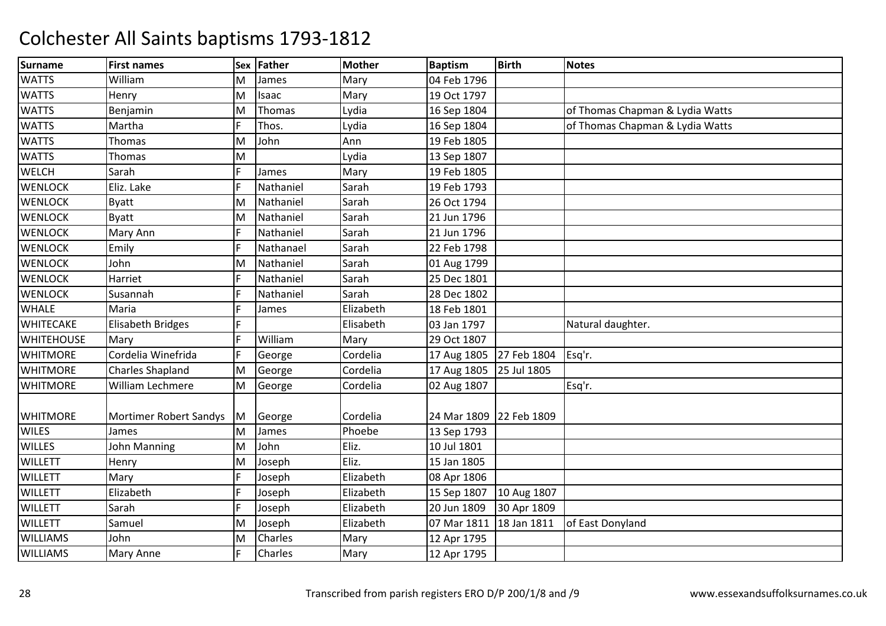| Surname           | <b>First names</b>       | <b>Sex</b> | Father       | <b>Mother</b> | <b>Baptism</b> | <b>Birth</b> | <b>Notes</b>                    |
|-------------------|--------------------------|------------|--------------|---------------|----------------|--------------|---------------------------------|
| <b>WATTS</b>      | William                  | M          | James        | Mary          | 04 Feb 1796    |              |                                 |
| <b>WATTS</b>      | Henry                    | M          | <b>Isaac</b> | Mary          | 19 Oct 1797    |              |                                 |
| <b>WATTS</b>      | Benjamin                 | M          | Thomas       | Lydia         | 16 Sep 1804    |              | of Thomas Chapman & Lydia Watts |
| <b>WATTS</b>      | Martha                   | F.         | Thos.        | Lydia         | 16 Sep 1804    |              | of Thomas Chapman & Lydia Watts |
| <b>WATTS</b>      | Thomas                   | M          | John         | Ann           | 19 Feb 1805    |              |                                 |
| <b>WATTS</b>      | Thomas                   | M          |              | Lydia         | 13 Sep 1807    |              |                                 |
| WELCH             | Sarah                    |            | James        | Mary          | 19 Feb 1805    |              |                                 |
| <b>WENLOCK</b>    | Eliz. Lake               |            | Nathaniel    | Sarah         | 19 Feb 1793    |              |                                 |
| <b>WENLOCK</b>    | <b>Byatt</b>             | M          | Nathaniel    | Sarah         | 26 Oct 1794    |              |                                 |
| <b>WENLOCK</b>    | <b>Byatt</b>             | M          | Nathaniel    | Sarah         | 21 Jun 1796    |              |                                 |
| <b>WENLOCK</b>    | Mary Ann                 |            | Nathaniel    | Sarah         | 21 Jun 1796    |              |                                 |
| <b>WENLOCK</b>    | Emily                    | F.         | Nathanael    | Sarah         | 22 Feb 1798    |              |                                 |
| <b>WENLOCK</b>    | John                     | M          | Nathaniel    | Sarah         | 01 Aug 1799    |              |                                 |
| <b>WENLOCK</b>    | Harriet                  |            | Nathaniel    | Sarah         | 25 Dec 1801    |              |                                 |
| <b>WENLOCK</b>    | Susannah                 |            | Nathaniel    | Sarah         | 28 Dec 1802    |              |                                 |
| <b>WHALE</b>      | Maria                    |            | James        | Elizabeth     | 18 Feb 1801    |              |                                 |
| <b>WHITECAKE</b>  | <b>Elisabeth Bridges</b> |            |              | Elisabeth     | 03 Jan 1797    |              | Natural daughter.               |
| <b>WHITEHOUSE</b> | Mary                     | F.         | William      | Mary          | 29 Oct 1807    |              |                                 |
| <b>WHITMORE</b>   | Cordelia Winefrida       |            | George       | Cordelia      | 17 Aug 1805    | 27 Feb 1804  | Esq'r.                          |
| <b>WHITMORE</b>   | <b>Charles Shapland</b>  | M          | George       | Cordelia      | 17 Aug 1805    | 25 Jul 1805  |                                 |
| <b>WHITMORE</b>   | William Lechmere         | M          | George       | Cordelia      | 02 Aug 1807    |              | Esq'r.                          |
|                   |                          |            |              |               |                |              |                                 |
| <b>WHITMORE</b>   | Mortimer Robert Sandys   | M          | George       | Cordelia      | 24 Mar 1809    | 22 Feb 1809  |                                 |
| <b>WILES</b>      | James                    | M          | James        | Phoebe        | 13 Sep 1793    |              |                                 |
| <b>WILLES</b>     | John Manning             | M          | John         | Eliz.         | 10 Jul 1801    |              |                                 |
| <b>WILLETT</b>    | Henry                    | M          | Joseph       | Eliz.         | 15 Jan 1805    |              |                                 |
| <b>WILLETT</b>    | Mary                     | F.         | Joseph       | Elizabeth     | 08 Apr 1806    |              |                                 |
| <b>WILLETT</b>    | Elizabeth                | F.         | Joseph       | Elizabeth     | 15 Sep 1807    | 10 Aug 1807  |                                 |
| <b>WILLETT</b>    | Sarah                    | E.         | Joseph       | Elizabeth     | 20 Jun 1809    | 30 Apr 1809  |                                 |
| <b>WILLETT</b>    | Samuel                   | M          | Joseph       | Elizabeth     | 07 Mar 1811    | 18 Jan 1811  | of East Donyland                |
| <b>WILLIAMS</b>   | John                     | M          | Charles      | Mary          | 12 Apr 1795    |              |                                 |
| <b>WILLIAMS</b>   | Mary Anne                | F.         | Charles      | Mary          | 12 Apr 1795    |              |                                 |